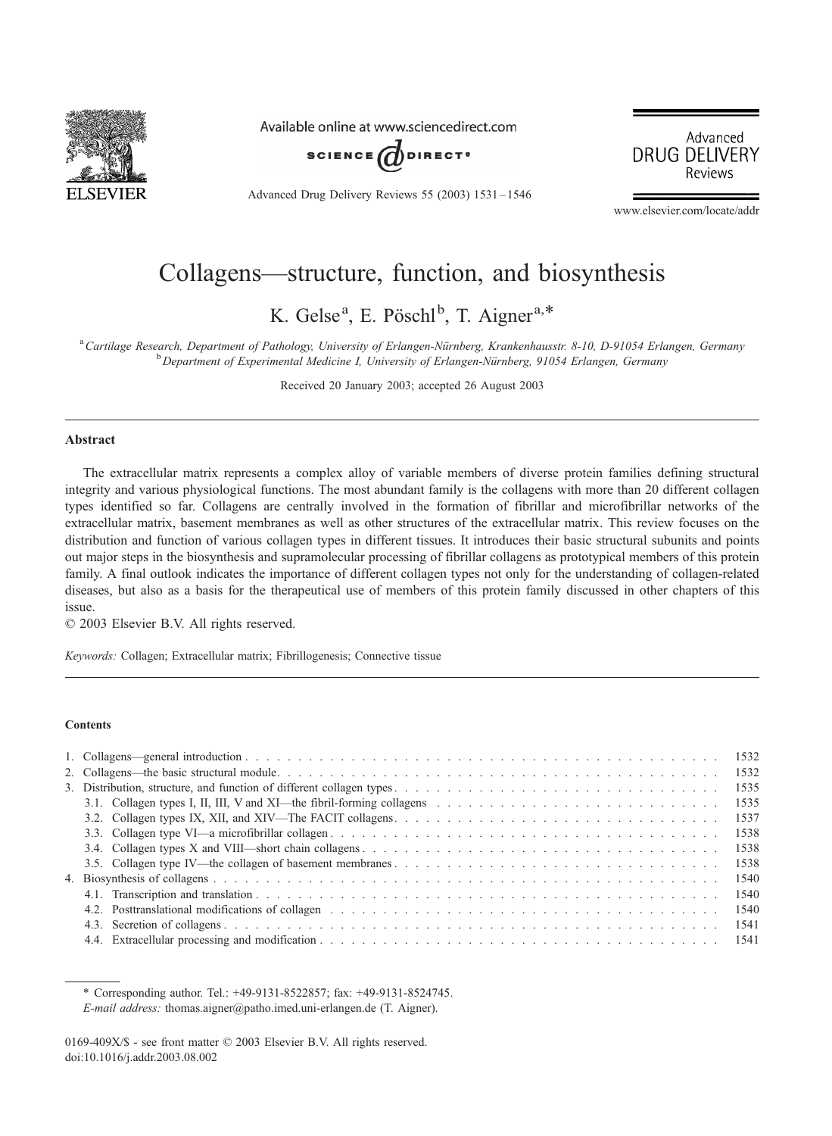

Available online at www.sciencedirect.com







www.elsevier.com/locate/addr

# Collagens—structure, function, and biosynthesis

K. Gelse<sup>a</sup>, E. Pöschl<sup>b</sup>, T. Aigner<sup>a,\*</sup>

a Cartilage Research, Department of Pathology, University of Erlangen-Nürnberg, Krankenhausstr. 8-10, D-91054 Erlangen, Germany<br>b Department of Experimental Medicina L University of Erlangen Nürnberg, 01054 Erlangen, Germa  $b$  Department of Experimental Medicine I, University of Erlangen-Nürnberg, 91054 Erlangen, Germany

Received 20 January 2003; accepted 26 August 2003

#### Abstract

The extracellular matrix represents a complex alloy of variable members of diverse protein families defining structural integrity and various physiological functions. The most abundant family is the collagens with more than 20 different collagen types identified so far. Collagens are centrally involved in the formation of fibrillar and microfibrillar networks of the extracellular matrix, basement membranes as well as other structures of the extracellular matrix. This review focuses on the distribution and function of various collagen types in different tissues. It introduces their basic structural subunits and points out major steps in the biosynthesis and supramolecular processing of fibrillar collagens as prototypical members of this protein family. A final outlook indicates the importance of different collagen types not only for the understanding of collagen-related diseases, but also as a basis for the therapeutical use of members of this protein family discussed in other chapters of this issue.

 $© 2003 Elsevier B.V. All rights reserved.$ 

Keywords: Collagen; Extracellular matrix; Fibrillogenesis; Connective tissue

#### **Contents**

|                                                                                                                                                                                                                               | 1538 |  |  |  |
|-------------------------------------------------------------------------------------------------------------------------------------------------------------------------------------------------------------------------------|------|--|--|--|
|                                                                                                                                                                                                                               | 1540 |  |  |  |
|                                                                                                                                                                                                                               | 1540 |  |  |  |
| 4.2. Posttranslational modifications of collagen entering in the set of the set of the set of the set of collagen entering in the set of the set of the set of the set of the set of the set of the set of the set of the set | 1540 |  |  |  |
|                                                                                                                                                                                                                               | 1541 |  |  |  |
|                                                                                                                                                                                                                               |      |  |  |  |

\* Corresponding author. Tel.: +49-9131-8522857; fax: +49-9131-8524745. E-mail address: thomas.aigner@patho.imed.uni-erlangen.de (T. Aigner).

<sup>0169-409</sup>X/\$ - see front matter © 2003 Elsevier B.V. All rights reserved. doi:10.1016/j.addr.2003.08.002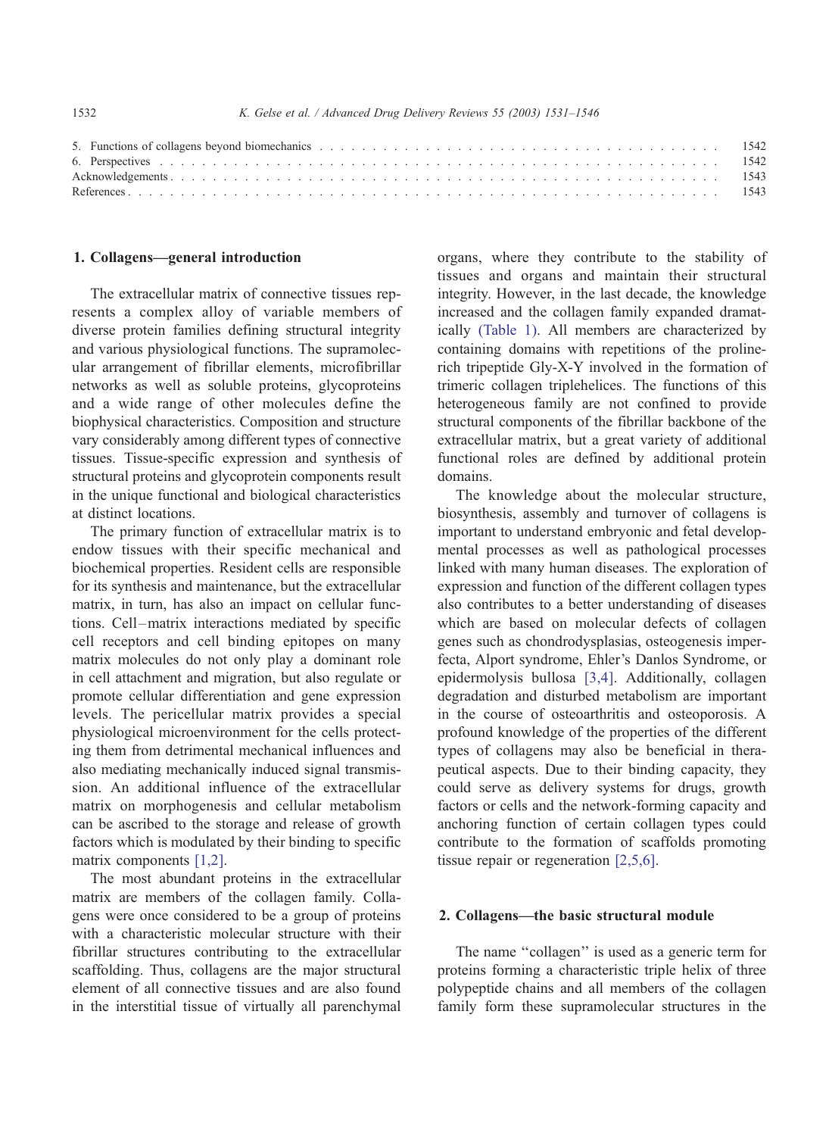#### 1532 K. Gelse et al. / Advanced Drug Delivery Reviews 55 (2003) 1531–1546

## 1. Collagens—general introduction

The extracellular matrix of connective tissues represents a complex alloy of variable members of diverse protein families defining structural integrity and various physiological functions. The supramolecular arrangement of fibrillar elements, microfibrillar networks as well as soluble proteins, glycoproteins and a wide range of other molecules define the biophysical characteristics. Composition and structure vary considerably among different types of connective tissues. Tissue-specific expression and synthesis of structural proteins and glycoprotein components result in the unique functional and biological characteristics at distinct locations.

The primary function of extracellular matrix is to endow tissues with their specific mechanical and biochemical properties. Resident cells are responsible for its synthesis and maintenance, but the extracellular matrix, in turn, has also an impact on cellular functions. Cell–matrix interactions mediated by specific cell receptors and cell binding epitopes on many matrix molecules do not only play a dominant role in cell attachment and migration, but also regulate or promote cellular differentiation and gene expression levels. The pericellular matrix provides a special physiological microenvironment for the cells protecting them from detrimental mechanical influences and also mediating mechanically induced signal transmission. An additional influence of the extracellular matrix on morphogenesis and cellular metabolism can be ascribed to the storage and release of growth factors which is modulated by their binding to specific matrix components [\[1,2\].](#page-12-0)

The most abundant proteins in the extracellular matrix are members of the collagen family. Collagens were once considered to be a group of proteins with a characteristic molecular structure with their fibrillar structures contributing to the extracellular scaffolding. Thus, collagens are the major structural element of all connective tissues and are also found in the interstitial tissue of virtually all parenchymal organs, where they contribute to the stability of tissues and organs and maintain their structural integrity. However, in the last decade, the knowledge increased and the collagen family expanded dramatically [\(Table 1\).](#page-2-0) All members are characterized by containing domains with repetitions of the prolinerich tripeptide Gly-X-Y involved in the formation of trimeric collagen triplehelices. The functions of this heterogeneous family are not confined to provide structural components of the fibrillar backbone of the extracellular matrix, but a great variety of additional functional roles are defined by additional protein domains.

The knowledge about the molecular structure, biosynthesis, assembly and turnover of collagens is important to understand embryonic and fetal developmental processes as well as pathological processes linked with many human diseases. The exploration of expression and function of the different collagen types also contributes to a better understanding of diseases which are based on molecular defects of collagen genes such as chondrodysplasias, osteogenesis imperfecta, Alport syndrome, Ehler's Danlos Syndrome, or epidermolysis bullosa [\[3,4\].](#page-12-0) Additionally, collagen degradation and disturbed metabolism are important in the course of osteoarthritis and osteoporosis. A profound knowledge of the properties of the different types of collagens may also be beneficial in therapeutical aspects. Due to their binding capacity, they could serve as delivery systems for drugs, growth factors or cells and the network-forming capacity and anchoring function of certain collagen types could contribute to the formation of scaffolds promoting tissue repair or regeneration [\[2,5,6\].](#page-12-0)

#### 2. Collagens—the basic structural module

The name "collagen" is used as a generic term for proteins forming a characteristic triple helix of three polypeptide chains and all members of the collagen family form these supramolecular structures in the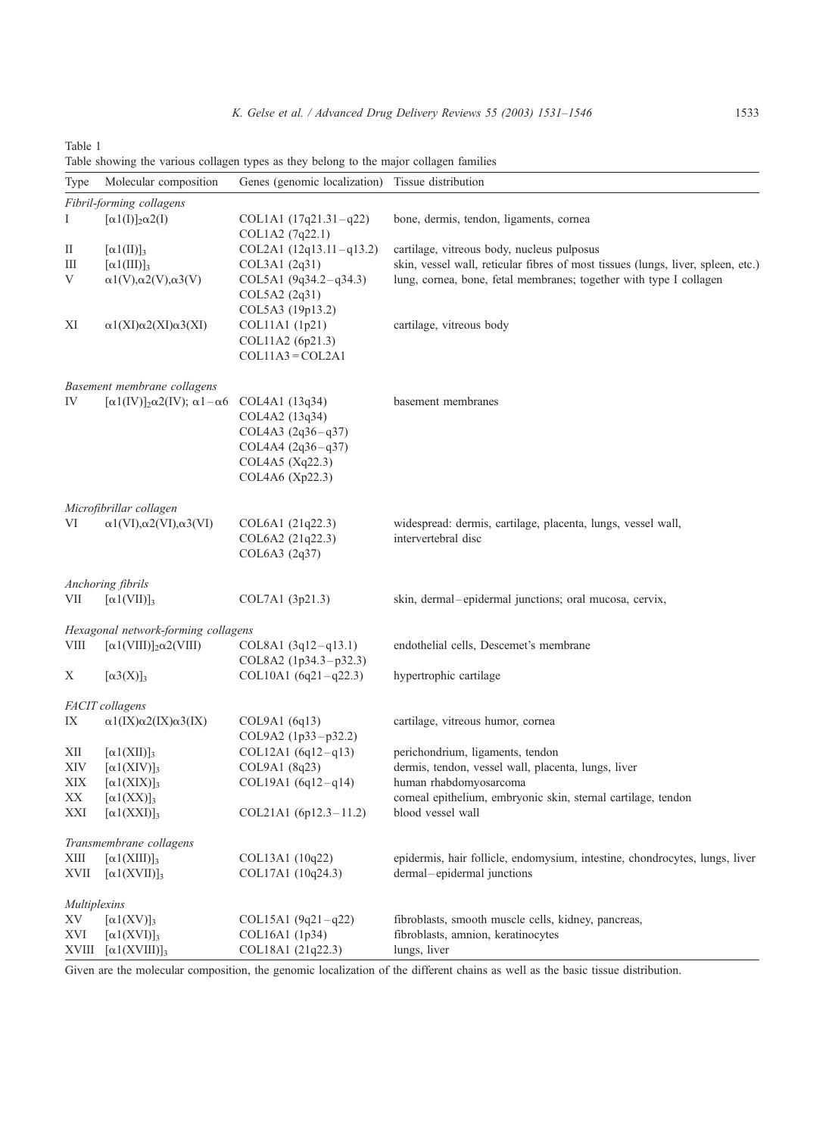| Type                                | Molecular composition                                              | Genes (genomic localization)                                 | Tissue distribution                                                              |  |  |
|-------------------------------------|--------------------------------------------------------------------|--------------------------------------------------------------|----------------------------------------------------------------------------------|--|--|
|                                     | Fibril-forming collagens                                           |                                                              |                                                                                  |  |  |
| Ι                                   | $\lbrack \alpha 1(I)\rbrack_2 \alpha 2(I)$                         | $COL1A1 (17q21.31-q22)$<br>COL1A2 (7q22.1)                   | bone, dermis, tendon, ligaments, cornea                                          |  |  |
| П                                   | $[\alpha 1(\text{II})]_3$                                          | $COL2A1 (12q13.11-q13.2)$                                    | cartilage, vitreous body, nucleus pulposus                                       |  |  |
| Ш                                   | $\left[\alpha\right]$ (III)] <sub>3</sub>                          | COL3A1 (2q31)                                                | skin, vessel wall, reticular fibres of most tissues (lungs, liver, spleen, etc.) |  |  |
| V                                   | $\alpha$ 1(V), $\alpha$ 2(V), $\alpha$ 3(V)                        | COL5A1 $(9q34.2-q34.3)$<br>COL5A2 (2q31)<br>COL5A3 (19p13.2) | lung, cornea, bone, fetal membranes; together with type I collagen               |  |  |
| ΧI                                  | $\alpha$ 1(XI) $\alpha$ 2(XI) $\alpha$ 3(XI)                       | COL11A1 (1p21)<br>COL11A2 (6p21.3)<br>$COL11A3 = COL2A1$     | cartilage, vitreous body                                                         |  |  |
|                                     |                                                                    |                                                              |                                                                                  |  |  |
|                                     | Basement membrane collagens                                        |                                                              |                                                                                  |  |  |
| IV                                  | $\lceil \alpha 1 (IV) \rceil_2 \alpha 2 (IV); \alpha 1 - \alpha 6$ | COL4A1 (13q34)<br>COL4A2 (13q34)<br>COL4A3 $(2q36-q37)$      | basement membranes                                                               |  |  |
|                                     |                                                                    | $COL4A4 (2q36-q37)$<br>COL4A5 (Xq22.3)<br>COL4A6 (Xp22.3)    |                                                                                  |  |  |
|                                     | Microfibrillar collagen                                            |                                                              |                                                                                  |  |  |
| VI                                  | $\alpha1(VI),\alpha2(VI),\alpha3(VI)$                              | COL6A1 (21q22.3)                                             | widespread: dermis, cartilage, placenta, lungs, vessel wall,                     |  |  |
|                                     |                                                                    | COL6A2 (21q22.3)<br>COL6A3 (2q37)                            | intervertebral disc                                                              |  |  |
|                                     | Anchoring fibrils                                                  |                                                              |                                                                                  |  |  |
| VII                                 | $[\alpha 1(VII)]_3$                                                | COL7A1 (3p21.3)                                              | skin, dermal-epidermal junctions; oral mucosa, cervix,                           |  |  |
| Hexagonal network-forming collagens |                                                                    |                                                              |                                                                                  |  |  |
| VIII                                | $\lceil \alpha 1(VIII) \rceil_2 \alpha 2(VIII)$                    | $COL8A1 (3q12-q13.1)$<br>COL8A2 (1p34.3-p32.3)               | endothelial cells, Descemet's membrane                                           |  |  |
| Χ                                   | $[\alpha 3(X)]_3$                                                  | COL10A1 $(6q21-q22.3)$                                       | hypertrophic cartilage                                                           |  |  |
|                                     | <b>FACIT</b> collagens                                             |                                                              |                                                                                  |  |  |
| IX                                  | $\alpha$ 1(IX) $\alpha$ 2(IX) $\alpha$ 3(IX)                       | COL9A1 (6q13)<br>COL9A2 (1p33-p32.2)                         | cartilage, vitreous humor, cornea                                                |  |  |
| XII                                 | $[\alpha 1(XII)]_3$                                                | $COL12A1 (6q12-q13)$                                         | perichondrium, ligaments, tendon                                                 |  |  |
| XIV                                 | $[\alpha 1(XIV)]_3$                                                | COL9A1 (8q23)                                                | dermis, tendon, vessel wall, placenta, lungs, liver                              |  |  |
| XIX                                 | $[\alpha 1(XIX)]_3$                                                | COL19A1 $(6q12-q14)$                                         | human rhabdomyosarcoma                                                           |  |  |
| XX                                  | $\lceil \alpha 1(XX) \rceil_3$                                     |                                                              | corneal epithelium, embryonic skin, sternal cartilage, tendon                    |  |  |
| XXI                                 | $[\alpha 1(XXI)]_3$                                                | COL21A1 (6p12.3-11.2)                                        | blood vessel wall                                                                |  |  |
|                                     | Transmembrane collagens                                            |                                                              |                                                                                  |  |  |
| XIII                                | $\lbrack \alpha 1(XIII)\rbrack_3$                                  | COL13A1 (10q22)                                              | epidermis, hair follicle, endomysium, intestine, chondrocytes, lungs, liver      |  |  |
| XVII                                | $\lbrack \alpha 1(XVII)\rbrack$ <sub>3</sub>                       | COL17A1 (10q24.3)                                            | dermal-epidermal junctions                                                       |  |  |
| <i>Multiplexins</i>                 |                                                                    |                                                              |                                                                                  |  |  |
| ΧV                                  | $[\alpha 1(XV)]_3$                                                 | COL15A1 $(9q21-q22)$                                         | fibroblasts, smooth muscle cells, kidney, pancreas,                              |  |  |
| XVI                                 | $\lbrack \alpha 1(XVI) \rbrack_3$                                  | COL16A1 (1p34)                                               | fibroblasts, amnion, keratinocytes                                               |  |  |
|                                     | $XVIII$ $[\alpha 1(XVIII)]_3$                                      | COL18A1 (21q22.3)                                            | lungs, liver                                                                     |  |  |

<span id="page-2-0"></span>Table 1 Table showing the various collagen types as they belong to the major collagen families

Given are the molecular composition, the genomic localization of the different chains as well as the basic tissue distribution.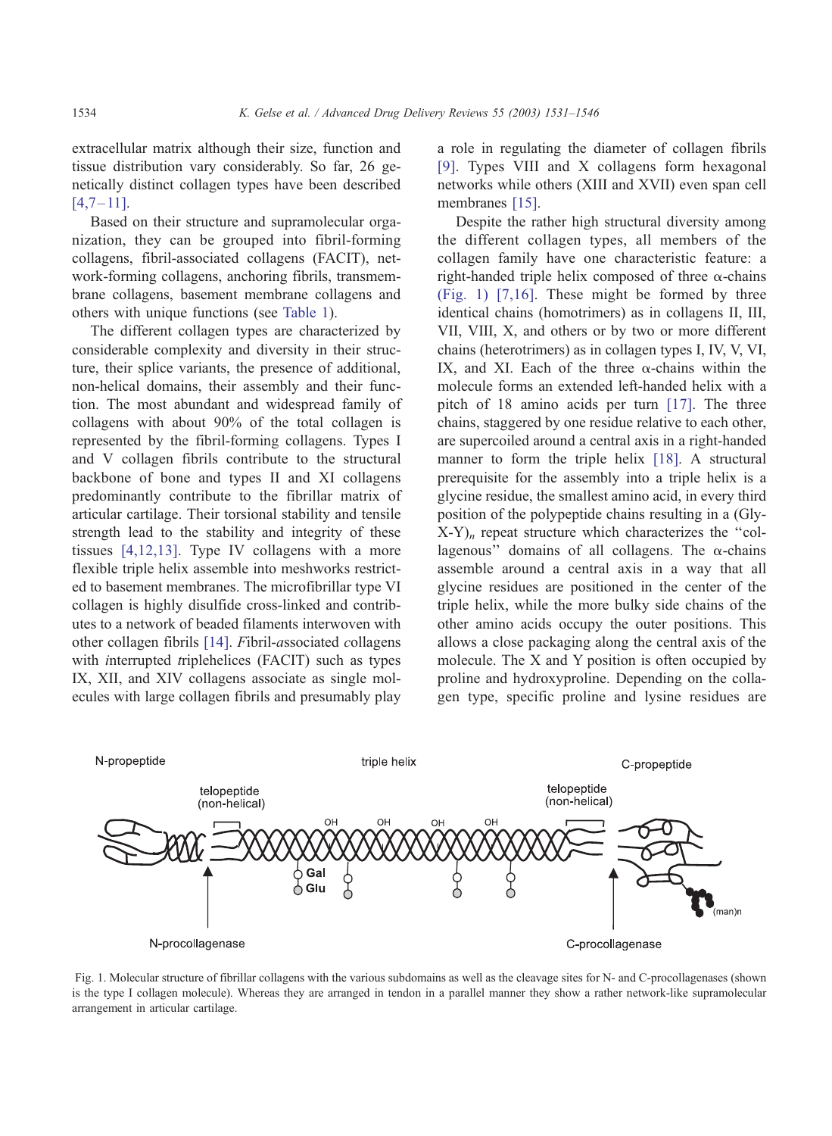<span id="page-3-0"></span>extracellular matrix although their size, function and tissue distribution vary considerably. So far, 26 genetically distinct collagen types have been described  $[4,7 - 11]$ .

Based on their structure and supramolecular organization, they can be grouped into fibril-forming collagens, fibril-associated collagens (FACIT), network-forming collagens, anchoring fibrils, transmembrane collagens, basement membrane collagens and others with unique functions (see [Table 1\)](#page-2-0).

The different collagen types are characterized by considerable complexity and diversity in their structure, their splice variants, the presence of additional, non-helical domains, their assembly and their function. The most abundant and widespread family of collagens with about 90% of the total collagen is represented by the fibril-forming collagens. Types I and V collagen fibrils contribute to the structural backbone of bone and types II and XI collagens predominantly contribute to the fibrillar matrix of articular cartilage. Their torsional stability and tensile strength lead to the stability and integrity of these tissues [\[4,12,13\].](#page-12-0) Type IV collagens with a more flexible triple helix assemble into meshworks restricted to basement membranes. The microfibrillar type VI collagen is highly disulfide cross-linked and contributes to a network of beaded filaments interwoven with other collagen fibrils [\[14\].](#page-12-0) Fibril-associated collagens with interrupted triplehelices (FACIT) such as types IX, XII, and XIV collagens associate as single molecules with large collagen fibrils and presumably play

a role in regulating the diameter of collagen fibrils [\[9\].](#page-12-0) Types VIII and X collagens form hexagonal networks while others (XIII and XVII) even span cell membranes [\[15\].](#page-12-0)

Despite the rather high structural diversity among the different collagen types, all members of the collagen family have one characteristic feature: a right-handed triple helix composed of three  $\alpha$ -chains (Fig. 1) [\[7,16\].](#page-12-0) These might be formed by three identical chains (homotrimers) as in collagens II, III, VII, VIII, X, and others or by two or more different chains (heterotrimers) as in collagen types I, IV, V, VI, IX, and XI. Each of the three  $\alpha$ -chains within the molecule forms an extended left-handed helix with a pitch of 18 amino acids per turn [\[17\].](#page-12-0) The three chains, staggered by one residue relative to each other, are supercoiled around a central axis in a right-handed manner to form the triple helix [\[18\].](#page-12-0) A structural prerequisite for the assembly into a triple helix is a glycine residue, the smallest amino acid, in every third position of the polypeptide chains resulting in a (Gly- $(X-Y)$ <sub>n</sub> repeat structure which characterizes the "collagenous" domains of all collagens. The  $\alpha$ -chains assemble around a central axis in a way that all glycine residues are positioned in the center of the triple helix, while the more bulky side chains of the other amino acids occupy the outer positions. This allows a close packaging along the central axis of the molecule. The X and Y position is often occupied by proline and hydroxyproline. Depending on the collagen type, specific proline and lysine residues are



Fig. 1. Molecular structure of fibrillar collagens with the various subdomains as well as the cleavage sites for N- and C-procollagenases (shown is the type I collagen molecule). Whereas they are arranged in tendon in a parallel manner they show a rather network-like supramolecular arrangement in articular cartilage.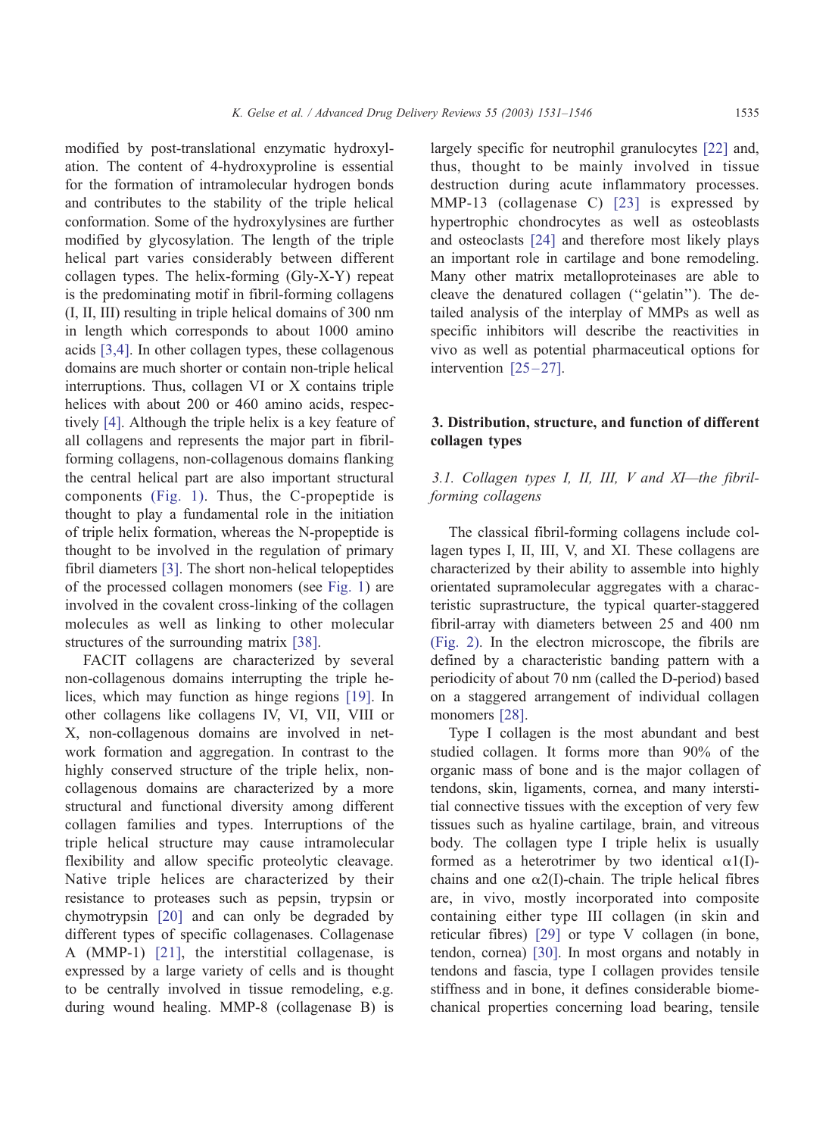modified by post-translational enzymatic hydroxylation. The content of 4-hydroxyproline is essential for the formation of intramolecular hydrogen bonds and contributes to the stability of the triple helical conformation. Some of the hydroxylysines are further modified by glycosylation. The length of the triple helical part varies considerably between different collagen types. The helix-forming (Gly-X-Y) repeat is the predominating motif in fibril-forming collagens (I, II, III) resulting in triple helical domains of 300 nm in length which corresponds to about 1000 amino acids [\[3,4\].](#page-12-0) In other collagen types, these collagenous domains are much shorter or contain non-triple helical interruptions. Thus, collagen VI or X contains triple helices with about 200 or 460 amino acids, respectively [\[4\].](#page-12-0) Although the triple helix is a key feature of all collagens and represents the major part in fibrilforming collagens, non-collagenous domains flanking the central helical part are also important structural components [\(Fig. 1\).](#page-3-0) Thus, the C-propeptide is thought to play a fundamental role in the initiation of triple helix formation, whereas the N-propeptide is thought to be involved in the regulation of primary fibril diameters [\[3\].](#page-12-0) The short non-helical telopeptides of the processed collagen monomers (see [Fig. 1\)](#page-3-0) are involved in the covalent cross-linking of the collagen molecules as well as linking to other molecular structures of the surrounding matrix [\[38\].](#page-13-0)

FACIT collagens are characterized by several non-collagenous domains interrupting the triple helices, which may function as hinge regions [\[19\].](#page-12-0) In other collagens like collagens IV, VI, VII, VIII or X, non-collagenous domains are involved in network formation and aggregation. In contrast to the highly conserved structure of the triple helix, noncollagenous domains are characterized by a more structural and functional diversity among different collagen families and types. Interruptions of the triple helical structure may cause intramolecular flexibility and allow specific proteolytic cleavage. Native triple helices are characterized by their resistance to proteases such as pepsin, trypsin or chymotrypsin [\[20\]](#page-12-0) and can only be degraded by different types of specific collagenases. Collagenase A (MMP-1) [\[21\],](#page-12-0) the interstitial collagenase, is expressed by a large variety of cells and is thought to be centrally involved in tissue remodeling, e.g. during wound healing. MMP-8 (collagenase B) is

largely specific for neutrophil granulocytes [\[22\]](#page-12-0) and, thus, thought to be mainly involved in tissue destruction during acute inflammatory processes. MMP-13 (collagenase C) [\[23\]](#page-12-0) is expressed by hypertrophic chondrocytes as well as osteoblasts and osteoclasts [\[24\]](#page-12-0) and therefore most likely plays an important role in cartilage and bone remodeling. Many other matrix metalloproteinases are able to cleave the denatured collagen (''gelatin''). The detailed analysis of the interplay of MMPs as well as specific inhibitors will describe the reactivities in vivo as well as potential pharmaceutical options for intervention  $[25-27]$ .

# 3. Distribution, structure, and function of different collagen types

# 3.1. Collagen types I, II, III, V and XI—the fibrilforming collagens

The classical fibril-forming collagens include collagen types I, II, III, V, and XI. These collagens are characterized by their ability to assemble into highly orientated supramolecular aggregates with a characteristic suprastructure, the typical quarter-staggered fibril-array with diameters between 25 and 400 nm [\(Fig. 2\).](#page-5-0) In the electron microscope, the fibrils are defined by a characteristic banding pattern with a periodicity of about 70 nm (called the D-period) based on a staggered arrangement of individual collagen monomers [\[28\].](#page-13-0)

Type I collagen is the most abundant and best studied collagen. It forms more than 90% of the organic mass of bone and is the major collagen of tendons, skin, ligaments, cornea, and many interstitial connective tissues with the exception of very few tissues such as hyaline cartilage, brain, and vitreous body. The collagen type I triple helix is usually formed as a heterotrimer by two identical  $\alpha 1(I)$ chains and one  $\alpha$ 2(I)-chain. The triple helical fibres are, in vivo, mostly incorporated into composite containing either type III collagen (in skin and reticular fibres) [\[29\]](#page-13-0) or type V collagen (in bone, tendon, cornea) [\[30\].](#page-13-0) In most organs and notably in tendons and fascia, type I collagen provides tensile stiffness and in bone, it defines considerable biomechanical properties concerning load bearing, tensile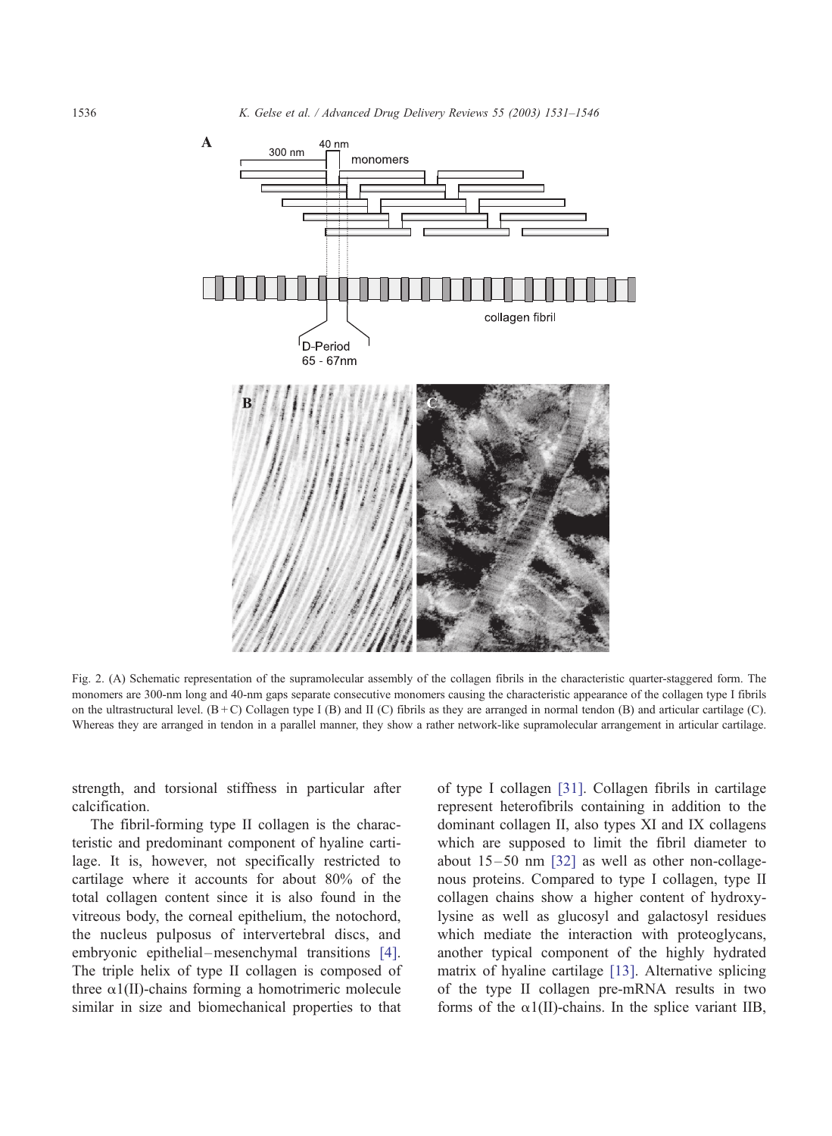

Fig. 2. (A) Schematic representation of the supramolecular assembly of the collagen fibrils in the characteristic quarter-staggered form. The monomers are 300-nm long and 40-nm gaps separate consecutive monomers causing the characteristic appearance of the collagen type I fibrils on the ultrastructural level. (B + C) Collagen type I (B) and II (C) fibrils as they are arranged in normal tendon (B) and articular cartilage (C). Whereas they are arranged in tendon in a parallel manner, they show a rather network-like supramolecular arrangement in articular cartilage.

strength, and torsional stiffness in particular after calcification.

The fibril-forming type II collagen is the characteristic and predominant component of hyaline cartilage. It is, however, not specifically restricted to cartilage where it accounts for about 80% of the total collagen content since it is also found in the vitreous body, the corneal epithelium, the notochord, the nucleus pulposus of intervertebral discs, and embryonic epithelial-mesenchymal transitions [\[4\].](#page-12-0) The triple helix of type II collagen is composed of three  $\alpha$ 1(II)-chains forming a homotrimeric molecule similar in size and biomechanical properties to that of type I collagen [\[31\].](#page-13-0) Collagen fibrils in cartilage represent heterofibrils containing in addition to the dominant collagen II, also types XI and IX collagens which are supposed to limit the fibril diameter to about  $15 - 50$  nm  $\left[32\right]$  as well as other non-collagenous proteins. Compared to type I collagen, type II collagen chains show a higher content of hydroxylysine as well as glucosyl and galactosyl residues which mediate the interaction with proteoglycans, another typical component of the highly hydrated matrix of hyaline cartilage [\[13\].](#page-12-0) Alternative splicing of the type II collagen pre-mRNA results in two forms of the  $\alpha$ 1(II)-chains. In the splice variant IIB,

<span id="page-5-0"></span>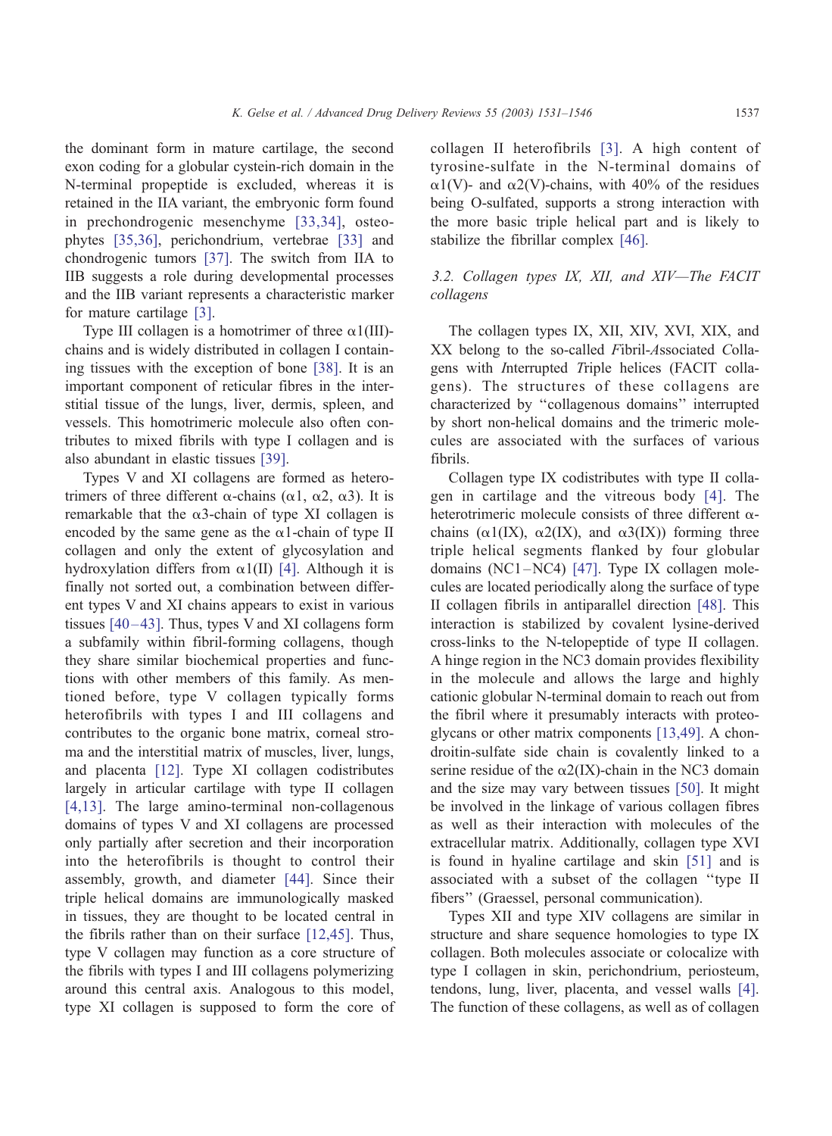the dominant form in mature cartilage, the second exon coding for a globular cystein-rich domain in the N-terminal propeptide is excluded, whereas it is retained in the IIA variant, the embryonic form found in prechondrogenic mesenchyme [\[33,34\],](#page-13-0) osteophytes [\[35,36\],](#page-13-0) perichondrium, vertebrae [\[33\]](#page-13-0) and chondrogenic tumors [\[37\].](#page-13-0) The switch from IIA to IIB suggests a role during developmental processes and the IIB variant represents a characteristic marker for mature cartilage [\[3\].](#page-12-0)

Type III collagen is a homotrimer of three  $\alpha$ 1(III)chains and is widely distributed in collagen I containing tissues with the exception of bone [\[38\].](#page-13-0) It is an important component of reticular fibres in the interstitial tissue of the lungs, liver, dermis, spleen, and vessels. This homotrimeric molecule also often contributes to mixed fibrils with type I collagen and is also abundant in elastic tissues [\[39\].](#page-13-0)

Types V and XI collagens are formed as heterotrimers of three different  $\alpha$ -chains ( $\alpha$ 1,  $\alpha$ 2,  $\alpha$ 3). It is remarkable that the  $\alpha$ 3-chain of type XI collagen is encoded by the same gene as the  $\alpha$ 1-chain of type II collagen and only the extent of glycosylation and hydroxylation differs from  $\alpha1(II)$  [\[4\].](#page-12-0) Although it is finally not sorted out, a combination between different types V and XI chains appears to exist in various tissues  $[40-43]$ . Thus, types V and XI collagens form a subfamily within fibril-forming collagens, though they share similar biochemical properties and functions with other members of this family. As mentioned before, type V collagen typically forms heterofibrils with types I and III collagens and contributes to the organic bone matrix, corneal stroma and the interstitial matrix of muscles, liver, lungs, and placenta [\[12\].](#page-12-0) Type XI collagen codistributes largely in articular cartilage with type II collagen [\[4,13\]](#page-12-0). The large amino-terminal non-collagenous domains of types V and XI collagens are processed only partially after secretion and their incorporation into the heterofibrils is thought to control their assembly, growth, and diameter [\[44\].](#page-13-0) Since their triple helical domains are immunologically masked in tissues, they are thought to be located central in the fibrils rather than on their surface [\[12,45\].](#page-12-0) Thus, type V collagen may function as a core structure of the fibrils with types I and III collagens polymerizing around this central axis. Analogous to this model, type XI collagen is supposed to form the core of collagen II heterofibrils [\[3\].](#page-12-0) A high content of tyrosine-sulfate in the N-terminal domains of  $\alpha$ 1(V)- and  $\alpha$ 2(V)-chains, with 40% of the residues being O-sulfated, supports a strong interaction with the more basic triple helical part and is likely to stabilize the fibrillar complex [\[46\].](#page-13-0)

# 3.2. Collagen types IX, XII, and XIV—The FACIT collagens

The collagen types IX, XII, XIV, XVI, XIX, and XX belong to the so-called Fibril-Associated Collagens with Interrupted Triple helices (FACIT collagens). The structures of these collagens are characterized by ''collagenous domains'' interrupted by short non-helical domains and the trimeric molecules are associated with the surfaces of various fibrils.

Collagen type IX codistributes with type II collagen in cartilage and the vitreous body [\[4\].](#page-12-0) The heterotrimeric molecule consists of three different  $\alpha$ chains ( $\alpha$ 1(IX),  $\alpha$ 2(IX), and  $\alpha$ 3(IX)) forming three triple helical segments flanked by four globular domains (NC1 –NC4) [\[47\].](#page-13-0) Type IX collagen molecules are located periodically along the surface of type II collagen fibrils in antiparallel direction [\[48\].](#page-13-0) This interaction is stabilized by covalent lysine-derived cross-links to the N-telopeptide of type II collagen. A hinge region in the NC3 domain provides flexibility in the molecule and allows the large and highly cationic globular N-terminal domain to reach out from the fibril where it presumably interacts with proteoglycans or other matrix components [\[13,49\].](#page-12-0) A chondroitin-sulfate side chain is covalently linked to a serine residue of the  $\alpha$ 2(IX)-chain in the NC3 domain and the size may vary between tissues [\[50\].](#page-13-0) It might be involved in the linkage of various collagen fibres as well as their interaction with molecules of the extracellular matrix. Additionally, collagen type XVI is found in hyaline cartilage and skin [\[51\]](#page-13-0) and is associated with a subset of the collagen ''type II fibers'' (Graessel, personal communication).

Types XII and type XIV collagens are similar in structure and share sequence homologies to type IX collagen. Both molecules associate or colocalize with type I collagen in skin, perichondrium, periosteum, tendons, lung, liver, placenta, and vessel walls [\[4\].](#page-12-0) The function of these collagens, as well as of collagen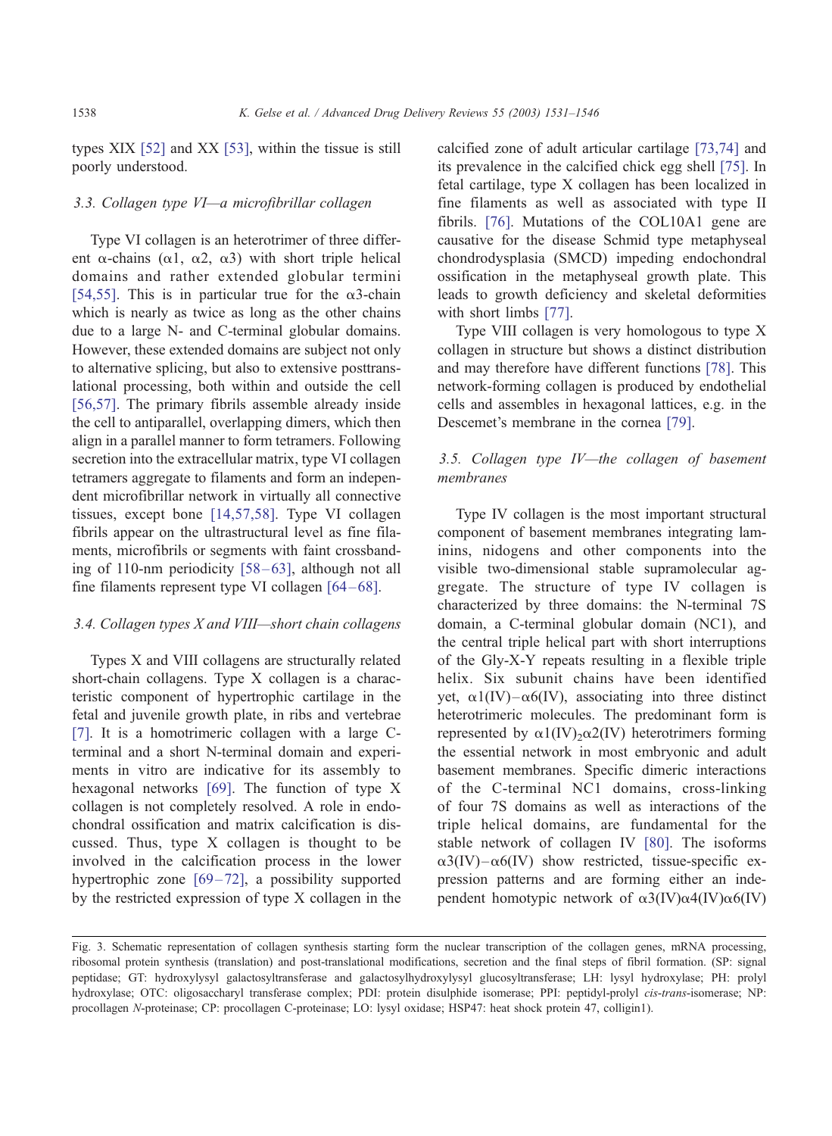types XIX [\[52\]](#page-13-0) and XX [\[53\],](#page-13-0) within the tissue is still poorly understood.

# 3.3. Collagen type VI—a microfibrillar collagen

Type VI collagen is an heterotrimer of three different  $\alpha$ -chains ( $\alpha$ 1,  $\alpha$ 2,  $\alpha$ 3) with short triple helical domains and rather extended globular termini [\[54,55\]](#page-13-0). This is in particular true for the  $\alpha$ 3-chain which is nearly as twice as long as the other chains due to a large N- and C-terminal globular domains. However, these extended domains are subject not only to alternative splicing, but also to extensive posttranslational processing, both within and outside the cell [\[56,57\]](#page-13-0). The primary fibrils assemble already inside the cell to antiparallel, overlapping dimers, which then align in a parallel manner to form tetramers. Following secretion into the extracellular matrix, type VI collagen tetramers aggregate to filaments and form an independent microfibrillar network in virtually all connective tissues, except bone [\[14,57,58\].](#page-12-0) Type VI collagen fibrils appear on the ultrastructural level as fine filaments, microfibrils or segments with faint crossbanding of 110-nm periodicity  $[58-63]$ , although not all fine filaments represent type VI collagen [64-68].

## 3.4. Collagen types X and VIII—short chain collagens

Types X and VIII collagens are structurally related short-chain collagens. Type X collagen is a characteristic component of hypertrophic cartilage in the fetal and juvenile growth plate, in ribs and vertebrae [\[7\].](#page-12-0) It is a homotrimeric collagen with a large Cterminal and a short N-terminal domain and experiments in vitro are indicative for its assembly to hexagonal networks [\[69\].](#page-14-0) The function of type X collagen is not completely resolved. A role in endochondral ossification and matrix calcification is discussed. Thus, type X collagen is thought to be involved in the calcification process in the lower hypertrophic zone  $[69-72]$ , a possibility supported by the restricted expression of type X collagen in the calcified zone of adult articular cartilage [\[73,74\]](#page-14-0) and its prevalence in the calcified chick egg shell [\[75\].](#page-14-0) In fetal cartilage, type X collagen has been localized in fine filaments as well as associated with type II fibrils. [\[76\].](#page-14-0) Mutations of the COL10A1 gene are causative for the disease Schmid type metaphyseal chondrodysplasia (SMCD) impeding endochondral ossification in the metaphyseal growth plate. This leads to growth deficiency and skeletal deformities with short limbs [\[77\].](#page-14-0)

Type VIII collagen is very homologous to type X collagen in structure but shows a distinct distribution and may therefore have different functions [\[78\].](#page-14-0) This network-forming collagen is produced by endothelial cells and assembles in hexagonal lattices, e.g. in the Descemet's membrane in the cornea [\[79\].](#page-14-0)

# 3.5. Collagen type IV—the collagen of basement membranes

Type IV collagen is the most important structural component of basement membranes integrating laminins, nidogens and other components into the visible two-dimensional stable supramolecular aggregate. The structure of type IV collagen is characterized by three domains: the N-terminal 7S domain, a C-terminal globular domain (NC1), and the central triple helical part with short interruptions of the Gly-X-Y repeats resulting in a flexible triple helix. Six subunit chains have been identified yet,  $\alpha$ 1(IV)– $\alpha$ 6(IV), associating into three distinct heterotrimeric molecules. The predominant form is represented by  $\alpha$ 1(IV)<sub>2</sub> $\alpha$ 2(IV) heterotrimers forming the essential network in most embryonic and adult basement membranes. Specific dimeric interactions of the C-terminal NC1 domains, cross-linking of four 7S domains as well as interactions of the triple helical domains, are fundamental for the stable network of collagen IV [\[80\].](#page-14-0) The isoforms  $\alpha$ 3(IV) – $\alpha$ 6(IV) show restricted, tissue-specific expression patterns and are forming either an independent homotypic network of  $\alpha$ 3(IV) $\alpha$ 4(IV) $\alpha$ 6(IV)

Fig. 3. Schematic representation of collagen synthesis starting form the nuclear transcription of the collagen genes, mRNA processing, ribosomal protein synthesis (translation) and post-translational modifications, secretion and the final steps of fibril formation. (SP: signal peptidase; GT: hydroxylysyl galactosyltransferase and galactosylhydroxylysyl glucosyltransferase; LH: lysyl hydroxylase; PH: prolyl hydroxylase; OTC: oligosaccharyl transferase complex; PDI: protein disulphide isomerase; PPI: peptidyl-prolyl cis-trans-isomerase; NP: procollagen N-proteinase; CP: procollagen C-proteinase; LO: lysyl oxidase; HSP47: heat shock protein 47, colligin1).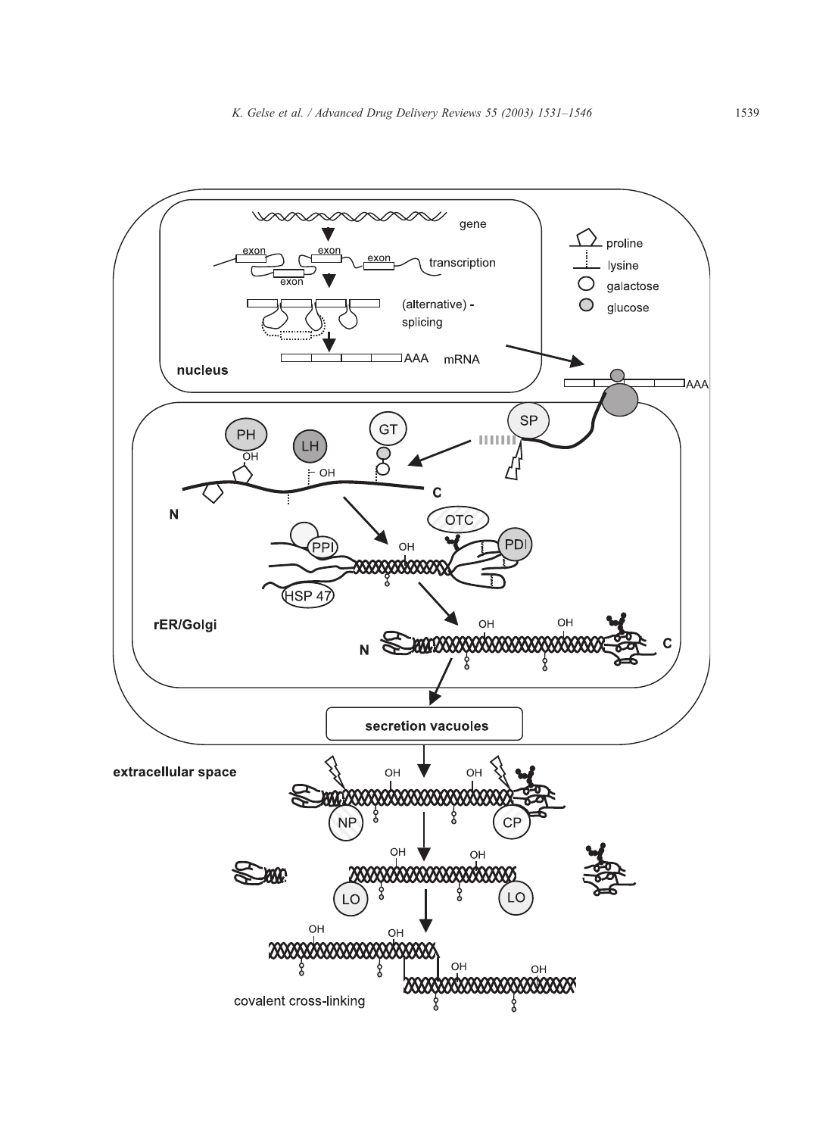<span id="page-8-0"></span>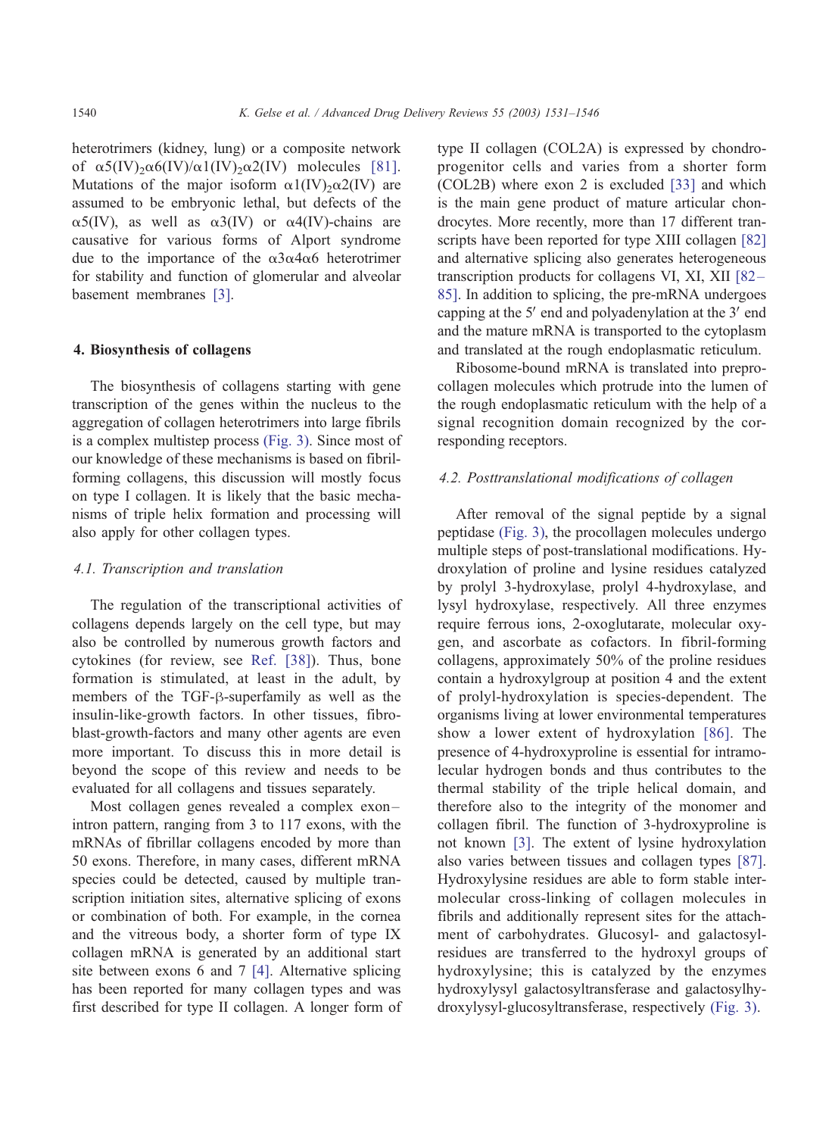heterotrimers (kidney, lung) or a composite network of  $\alpha$ 5(IV)<sub>2</sub> $\alpha$ 6(IV)/ $\alpha$ 1(IV)<sub>2</sub> $\alpha$ 2(IV) molecules [\[81\].](#page-14-0) Mutations of the major isoform  $\alpha$ 1(IV)<sub>2</sub> $\alpha$ 2(IV) are assumed to be embryonic lethal, but defects of the  $\alpha$ 5(IV), as well as  $\alpha$ 3(IV) or  $\alpha$ 4(IV)-chains are causative for various forms of Alport syndrome due to the importance of the  $\alpha$ 3 $\alpha$ 4 $\alpha$ 6 heterotrimer for stability and function of glomerular and alveolar basement membranes [\[3\].](#page-12-0)

# 4. Biosynthesis of collagens

The biosynthesis of collagens starting with gene transcription of the genes within the nucleus to the aggregation of collagen heterotrimers into large fibrils is a complex multistep process [\(Fig. 3\).](#page-8-0) Since most of our knowledge of these mechanisms is based on fibrilforming collagens, this discussion will mostly focus on type I collagen. It is likely that the basic mechanisms of triple helix formation and processing will also apply for other collagen types.

## 4.1. Transcription and translation

The regulation of the transcriptional activities of collagens depends largely on the cell type, but may also be controlled by numerous growth factors and cytokines (for review, see [Ref. \[38\]\)](#page-13-0). Thus, bone formation is stimulated, at least in the adult, by members of the TGF- $\beta$ -superfamily as well as the insulin-like-growth factors. In other tissues, fibroblast-growth-factors and many other agents are even more important. To discuss this in more detail is beyond the scope of this review and needs to be evaluated for all collagens and tissues separately.

Most collagen genes revealed a complex exonintron pattern, ranging from 3 to 117 exons, with the mRNAs of fibrillar collagens encoded by more than 50 exons. Therefore, in many cases, different mRNA species could be detected, caused by multiple transcription initiation sites, alternative splicing of exons or combination of both. For example, in the cornea and the vitreous body, a shorter form of type IX collagen mRNA is generated by an additional start site between exons 6 and 7 [\[4\].](#page-12-0) Alternative splicing has been reported for many collagen types and was first described for type II collagen. A longer form of type II collagen (COL2A) is expressed by chondroprogenitor cells and varies from a shorter form (COL2B) where exon 2 is excluded [\[33\]](#page-13-0) and which is the main gene product of mature articular chondrocytes. More recently, more than 17 different transcripts have been reported for type XIII collagen [\[82\]](#page-14-0) and alternative splicing also generates heterogeneous transcription products for collagens VI, XI, XII [\[82 –](#page-14-0) 85]. In addition to splicing, the pre-mRNA undergoes capping at the  $5'$  end and polyadenylation at the  $3'$  end and the mature mRNA is transported to the cytoplasm and translated at the rough endoplasmatic reticulum.

Ribosome-bound mRNA is translated into preprocollagen molecules which protrude into the lumen of the rough endoplasmatic reticulum with the help of a signal recognition domain recognized by the corresponding receptors.

# 4.2. Posttranslational modifications of collagen

After removal of the signal peptide by a signal peptidase [\(Fig. 3\),](#page-8-0) the procollagen molecules undergo multiple steps of post-translational modifications. Hydroxylation of proline and lysine residues catalyzed by prolyl 3-hydroxylase, prolyl 4-hydroxylase, and lysyl hydroxylase, respectively. All three enzymes require ferrous ions, 2-oxoglutarate, molecular oxygen, and ascorbate as cofactors. In fibril-forming collagens, approximately 50% of the proline residues contain a hydroxylgroup at position 4 and the extent of prolyl-hydroxylation is species-dependent. The organisms living at lower environmental temperatures show a lower extent of hydroxylation [\[86\].](#page-15-0) The presence of 4-hydroxyproline is essential for intramolecular hydrogen bonds and thus contributes to the thermal stability of the triple helical domain, and therefore also to the integrity of the monomer and collagen fibril. The function of 3-hydroxyproline is not known [\[3\].](#page-12-0) The extent of lysine hydroxylation also varies between tissues and collagen types [\[87\].](#page-15-0) Hydroxylysine residues are able to form stable intermolecular cross-linking of collagen molecules in fibrils and additionally represent sites for the attachment of carbohydrates. Glucosyl- and galactosylresidues are transferred to the hydroxyl groups of hydroxylysine; this is catalyzed by the enzymes hydroxylysyl galactosyltransferase and galactosylhydroxylysyl-glucosyltransferase, respectively [\(Fig. 3\).](#page-8-0)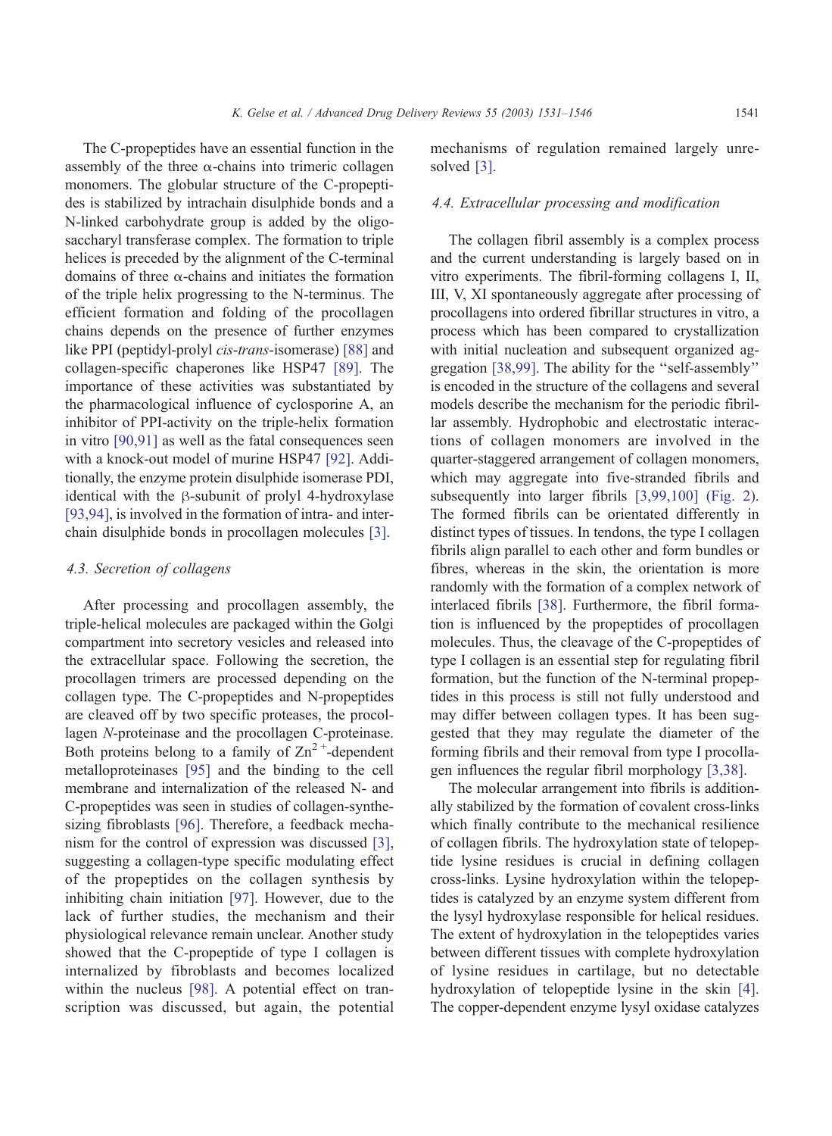The C-propeptides have an essential function in the assembly of the three  $\alpha$ -chains into trimeric collagen monomers. The globular structure of the C-propeptides is stabilized by intrachain disulphide bonds and a N-linked carbohydrate group is added by the oligosaccharyl transferase complex. The formation to triple helices is preceded by the alignment of the C-terminal domains of three  $\alpha$ -chains and initiates the formation of the triple helix progressing to the N-terminus. The efficient formation and folding of the procollagen chains depends on the presence of further enzymes like PPI (peptidyl-prolyl cis-trans-isomerase) [\[88\]](#page-15-0) and collagen-specific chaperones like HSP47 [\[89\].](#page-15-0) The importance of these activities was substantiated by the pharmacological influence of cyclosporine A, an inhibitor of PPI-activity on the triple-helix formation in vitro [\[90,91\]](#page-15-0) as well as the fatal consequences seen with a knock-out model of murine HSP47 [\[92\].](#page-15-0) Additionally, the enzyme protein disulphide isomerase PDI, identical with the  $\beta$ -subunit of prolyl 4-hydroxylase [\[93,94\],](#page-15-0) is involved in the formation of intra- and interchain disulphide bonds in procollagen molecules [\[3\].](#page-12-0)

## 4.3. Secretion of collagens

After processing and procollagen assembly, the triple-helical molecules are packaged within the Golgi compartment into secretory vesicles and released into the extracellular space. Following the secretion, the procollagen trimers are processed depending on the collagen type. The C-propeptides and N-propeptides are cleaved off by two specific proteases, the procollagen N-proteinase and the procollagen C-proteinase. Both proteins belong to a family of  $\text{Zn}^2$ <sup>+</sup>-dependent metalloproteinases [\[95\]](#page-15-0) and the binding to the cell membrane and internalization of the released N- and C-propeptides was seen in studies of collagen-synthesizing fibroblasts [\[96\].](#page-15-0) Therefore, a feedback mechanism for the control of expression was discussed [\[3\],](#page-12-0) suggesting a collagen-type specific modulating effect of the propeptides on the collagen synthesis by inhibiting chain initiation [\[97\].](#page-15-0) However, due to the lack of further studies, the mechanism and their physiological relevance remain unclear. Another study showed that the C-propeptide of type I collagen is internalized by fibroblasts and becomes localized within the nucleus [\[98\].](#page-15-0) A potential effect on transcription was discussed, but again, the potential mechanisms of regulation remained largely unresolved [\[3\].](#page-12-0)

# 4.4. Extracellular processing and modification

The collagen fibril assembly is a complex process and the current understanding is largely based on in vitro experiments. The fibril-forming collagens I, II, III, V, XI spontaneously aggregate after processing of procollagens into ordered fibrillar structures in vitro, a process which has been compared to crystallization with initial nucleation and subsequent organized aggregation [\[38,99\].](#page-13-0) The ability for the ''self-assembly'' is encoded in the structure of the collagens and several models describe the mechanism for the periodic fibrillar assembly. Hydrophobic and electrostatic interactions of collagen monomers are involved in the quarter-staggered arrangement of collagen monomers, which may aggregate into five-stranded fibrils and subsequently into larger fibrils [\[3,99,100\]](#page-12-0) [\(Fig. 2\).](#page-5-0) The formed fibrils can be orientated differently in distinct types of tissues. In tendons, the type I collagen fibrils align parallel to each other and form bundles or fibres, whereas in the skin, the orientation is more randomly with the formation of a complex network of interlaced fibrils [\[38\].](#page-13-0) Furthermore, the fibril formation is influenced by the propeptides of procollagen molecules. Thus, the cleavage of the C-propeptides of type I collagen is an essential step for regulating fibril formation, but the function of the N-terminal propeptides in this process is still not fully understood and may differ between collagen types. It has been suggested that they may regulate the diameter of the forming fibrils and their removal from type I procollagen influences the regular fibril morphology [\[3,38\].](#page-12-0)

The molecular arrangement into fibrils is additionally stabilized by the formation of covalent cross-links which finally contribute to the mechanical resilience of collagen fibrils. The hydroxylation state of telopeptide lysine residues is crucial in defining collagen cross-links. Lysine hydroxylation within the telopeptides is catalyzed by an enzyme system different from the lysyl hydroxylase responsible for helical residues. The extent of hydroxylation in the telopeptides varies between different tissues with complete hydroxylation of lysine residues in cartilage, but no detectable hydroxylation of telopeptide lysine in the skin [\[4\].](#page-12-0) The copper-dependent enzyme lysyl oxidase catalyzes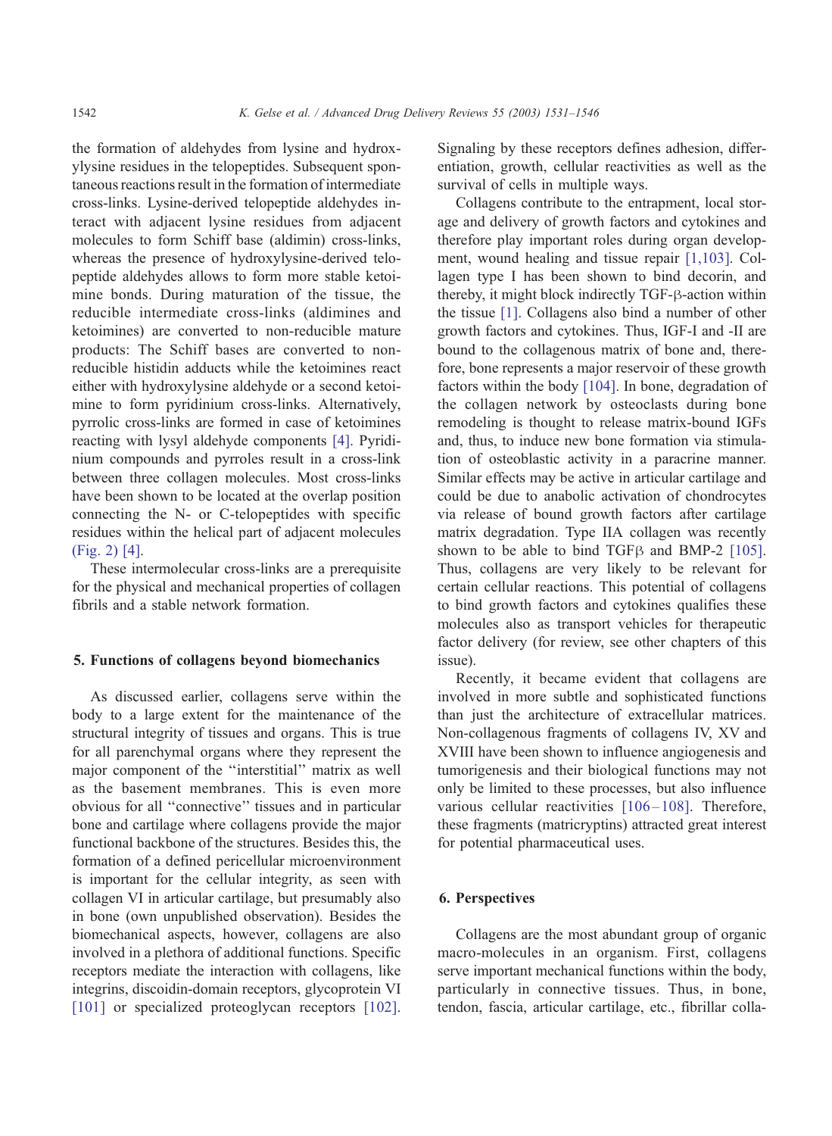the formation of aldehydes from lysine and hydroxylysine residues in the telopeptides. Subsequent spontaneous reactions result in the formation of intermediate cross-links. Lysine-derived telopeptide aldehydes interact with adjacent lysine residues from adjacent molecules to form Schiff base (aldimin) cross-links, whereas the presence of hydroxylysine-derived telopeptide aldehydes allows to form more stable ketoimine bonds. During maturation of the tissue, the reducible intermediate cross-links (aldimines and ketoimines) are converted to non-reducible mature products: The Schiff bases are converted to nonreducible histidin adducts while the ketoimines react either with hydroxylysine aldehyde or a second ketoimine to form pyridinium cross-links. Alternatively, pyrrolic cross-links are formed in case of ketoimines reacting with lysyl aldehyde components [\[4\].](#page-12-0) Pyridinium compounds and pyrroles result in a cross-link between three collagen molecules. Most cross-links have been shown to be located at the overlap position connecting the N- or C-telopeptides with specific residues within the helical part of adjacent molecules [\(Fig. 2\)](#page-5-0) [\[4\].](#page-12-0)

These intermolecular cross-links are a prerequisite for the physical and mechanical properties of collagen fibrils and a stable network formation.

## 5. Functions of collagens beyond biomechanics

As discussed earlier, collagens serve within the body to a large extent for the maintenance of the structural integrity of tissues and organs. This is true for all parenchymal organs where they represent the major component of the ''interstitial'' matrix as well as the basement membranes. This is even more obvious for all ''connective'' tissues and in particular bone and cartilage where collagens provide the major functional backbone of the structures. Besides this, the formation of a defined pericellular microenvironment is important for the cellular integrity, as seen with collagen VI in articular cartilage, but presumably also in bone (own unpublished observation). Besides the biomechanical aspects, however, collagens are also involved in a plethora of additional functions. Specific receptors mediate the interaction with collagens, like integrins, discoidin-domain receptors, glycoprotein VI [\[101\]](#page-15-0) or specialized proteoglycan receptors [\[102\].](#page-15-0) Signaling by these receptors defines adhesion, differentiation, growth, cellular reactivities as well as the survival of cells in multiple ways.

Collagens contribute to the entrapment, local storage and delivery of growth factors and cytokines and therefore play important roles during organ development, wound healing and tissue repair [\[1,103\].](#page-12-0) Collagen type I has been shown to bind decorin, and thereby, it might block indirectly  $TGF- $\beta$ -action within$ the tissue [\[1\].](#page-12-0) Collagens also bind a number of other growth factors and cytokines. Thus, IGF-I and -II are bound to the collagenous matrix of bone and, therefore, bone represents a major reservoir of these growth factors within the body [\[104\].](#page-15-0) In bone, degradation of the collagen network by osteoclasts during bone remodeling is thought to release matrix-bound IGFs and, thus, to induce new bone formation via stimulation of osteoblastic activity in a paracrine manner. Similar effects may be active in articular cartilage and could be due to anabolic activation of chondrocytes via release of bound growth factors after cartilage matrix degradation. Type IIA collagen was recently shown to be able to bind TGF $\beta$  and BMP-2 [\[105\].](#page-15-0) Thus, collagens are very likely to be relevant for certain cellular reactions. This potential of collagens to bind growth factors and cytokines qualifies these molecules also as transport vehicles for therapeutic factor delivery (for review, see other chapters of this issue).

Recently, it became evident that collagens are involved in more subtle and sophisticated functions than just the architecture of extracellular matrices. Non-collagenous fragments of collagens IV, XV and XVIII have been shown to influence angiogenesis and tumorigenesis and their biological functions may not only be limited to these processes, but also influence various cellular reactivities [106-108]. Therefore, these fragments (matricryptins) attracted great interest for potential pharmaceutical uses.

# 6. Perspectives

Collagens are the most abundant group of organic macro-molecules in an organism. First, collagens serve important mechanical functions within the body, particularly in connective tissues. Thus, in bone, tendon, fascia, articular cartilage, etc., fibrillar colla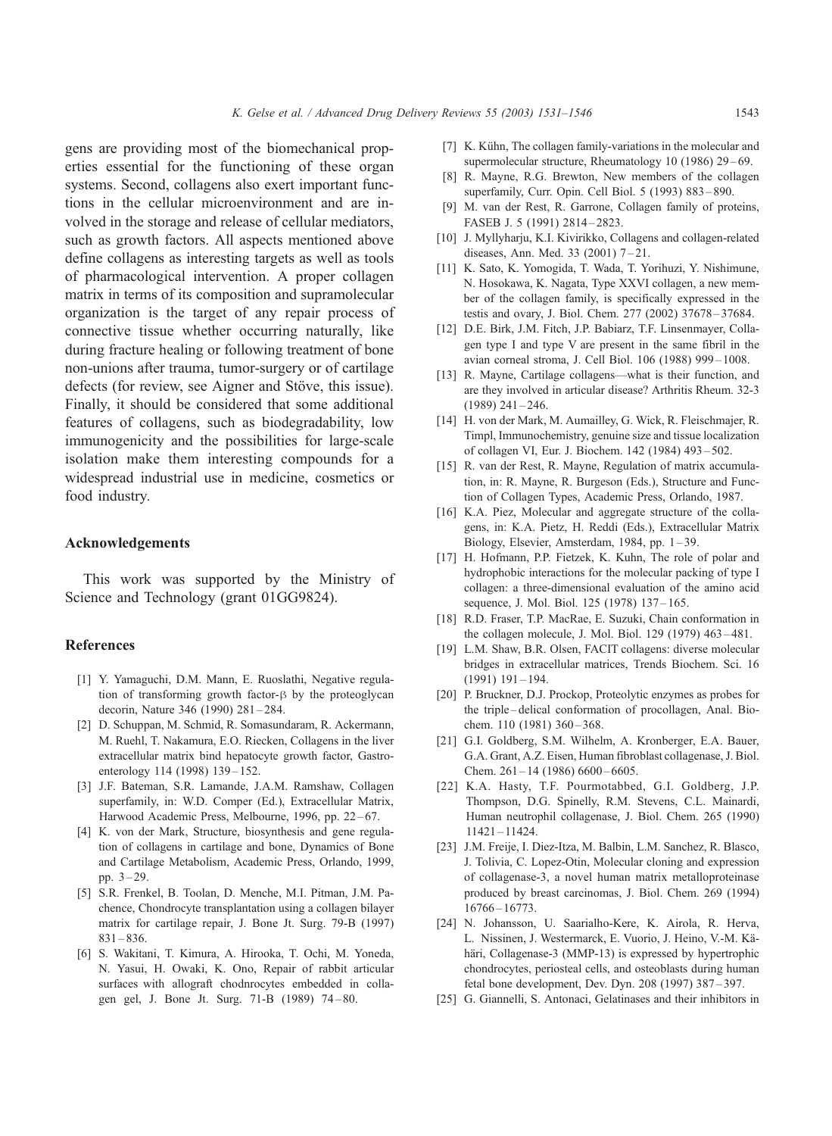<span id="page-12-0"></span>gens are providing most of the biomechanical properties essential for the functioning of these organ systems. Second, collagens also exert important functions in the cellular microenvironment and are involved in the storage and release of cellular mediators, such as growth factors. All aspects mentioned above define collagens as interesting targets as well as tools of pharmacological intervention. A proper collagen matrix in terms of its composition and supramolecular organization is the target of any repair process of connective tissue whether occurring naturally, like during fracture healing or following treatment of bone non-unions after trauma, tumor-surgery or of cartilage defects (for review, see Aigner and Stöve, this issue). Finally, it should be considered that some additional features of collagens, such as biodegradability, low immunogenicity and the possibilities for large-scale isolation make them interesting compounds for a widespread industrial use in medicine, cosmetics or food industry.

# Acknowledgements

This work was supported by the Ministry of Science and Technology (grant 01GG9824).

## References

- [1] Y. Yamaguchi, D.M. Mann, E. Ruoslathi, Negative regulation of transforming growth factor- $\beta$  by the proteoglycan decorin, Nature 346 (1990) 281-284.
- [2] D. Schuppan, M. Schmid, R. Somasundaram, R. Ackermann, M. Ruehl, T. Nakamura, E.O. Riecken, Collagens in the liver extracellular matrix bind hepatocyte growth factor, Gastroenterology 114 (1998) 139-152.
- [3] J.F. Bateman, S.R. Lamande, J.A.M. Ramshaw, Collagen superfamily, in: W.D. Comper (Ed.), Extracellular Matrix, Harwood Academic Press, Melbourne, 1996, pp. 22-67.
- [4] K. von der Mark, Structure, biosynthesis and gene regulation of collagens in cartilage and bone, Dynamics of Bone and Cartilage Metabolism, Academic Press, Orlando, 1999, pp. 3 – 29.
- [5] S.R. Frenkel, B. Toolan, D. Menche, M.I. Pitman, J.M. Pachence, Chondrocyte transplantation using a collagen bilayer matrix for cartilage repair, J. Bone Jt. Surg. 79-B (1997)  $831 - 836.$
- [6] S. Wakitani, T. Kimura, A. Hirooka, T. Ochi, M. Yoneda, N. Yasui, H. Owaki, K. Ono, Repair of rabbit articular surfaces with allograft chodnrocytes embedded in collagen gel, J. Bone Jt. Surg. 71-B (1989) 74 – 80.
- [7] K. Kühn, The collagen family-variations in the molecular and supermolecular structure, Rheumatology 10 (1986) 29-69.
- [8] R. Mayne, R.G. Brewton, New members of the collagen superfamily, Curr. Opin. Cell Biol. 5 (1993) 883 – 890.
- [9] M. van der Rest, R. Garrone, Collagen family of proteins, FASEB J. 5 (1991) 2814-2823.
- [10] J. Myllyharju, K.I. Kivirikko, Collagens and collagen-related diseases, Ann. Med. 33 (2001) 7-21.
- [11] K. Sato, K. Yomogida, T. Wada, T. Yorihuzi, Y. Nishimune, N. Hosokawa, K. Nagata, Type XXVI collagen, a new member of the collagen family, is specifically expressed in the testis and ovary, J. Biol. Chem. 277 (2002) 37678 – 37684.
- [12] D.E. Birk, J.M. Fitch, J.P. Babiarz, T.F. Linsenmayer, Collagen type I and type V are present in the same fibril in the avian corneal stroma, J. Cell Biol. 106 (1988) 999 – 1008.
- [13] R. Mayne, Cartilage collagens—what is their function, and are they involved in articular disease? Arthritis Rheum. 32-3  $(1989)$  241 – 246.
- [14] H. von der Mark, M. Aumailley, G. Wick, R. Fleischmajer, R. Timpl, Immunochemistry, genuine size and tissue localization of collagen VI, Eur. J. Biochem. 142 (1984) 493 – 502.
- [15] R. van der Rest, R. Mayne, Regulation of matrix accumulation, in: R. Mayne, R. Burgeson (Eds.), Structure and Function of Collagen Types, Academic Press, Orlando, 1987.
- [16] K.A. Piez, Molecular and aggregate structure of the collagens, in: K.A. Pietz, H. Reddi (Eds.), Extracellular Matrix Biology, Elsevier, Amsterdam, 1984, pp. 1-39.
- [17] H. Hofmann, P.P. Fietzek, K. Kuhn, The role of polar and hydrophobic interactions for the molecular packing of type I collagen: a three-dimensional evaluation of the amino acid sequence, J. Mol. Biol. 125 (1978) 137-165.
- [18] R.D. Fraser, T.P. MacRae, E. Suzuki, Chain conformation in the collagen molecule, J. Mol. Biol. 129 (1979) 463 – 481.
- [19] L.M. Shaw, B.R. Olsen, FACIT collagens: diverse molecular bridges in extracellular matrices, Trends Biochem. Sci. 16  $(1991)$  191 – 194.
- [20] P. Bruckner, D.J. Prockop, Proteolytic enzymes as probes for the triple – delical conformation of procollagen, Anal. Biochem. 110 (1981) 360-368.
- [21] G.I. Goldberg, S.M. Wilhelm, A. Kronberger, E.A. Bauer, G.A. Grant, A.Z. Eisen, Human fibroblast collagenase, J. Biol. Chem. 261-14 (1986) 6600-6605.
- [22] K.A. Hasty, T.F. Pourmotabbed, G.I. Goldberg, J.P. Thompson, D.G. Spinelly, R.M. Stevens, C.L. Mainardi, Human neutrophil collagenase, J. Biol. Chem. 265 (1990) 11421 – 11424.
- [23] J.M. Freije, I. Diez-Itza, M. Balbin, L.M. Sanchez, R. Blasco, J. Tolivia, C. Lopez-Otin, Molecular cloning and expression of collagenase-3, a novel human matrix metalloproteinase produced by breast carcinomas, J. Biol. Chem. 269 (1994) 16766 – 16773.
- [24] N. Johansson, U. Saarialho-Kere, K. Airola, R. Herva, L. Nissinen, J. Westermarck, E. Vuorio, J. Heino, V.-M. Kähäri, Collagenase-3 (MMP-13) is expressed by hypertrophic chondrocytes, periosteal cells, and osteoblasts during human fetal bone development, Dev. Dyn. 208 (1997) 387 – 397.
- [25] G. Giannelli, S. Antonaci, Gelatinases and their inhibitors in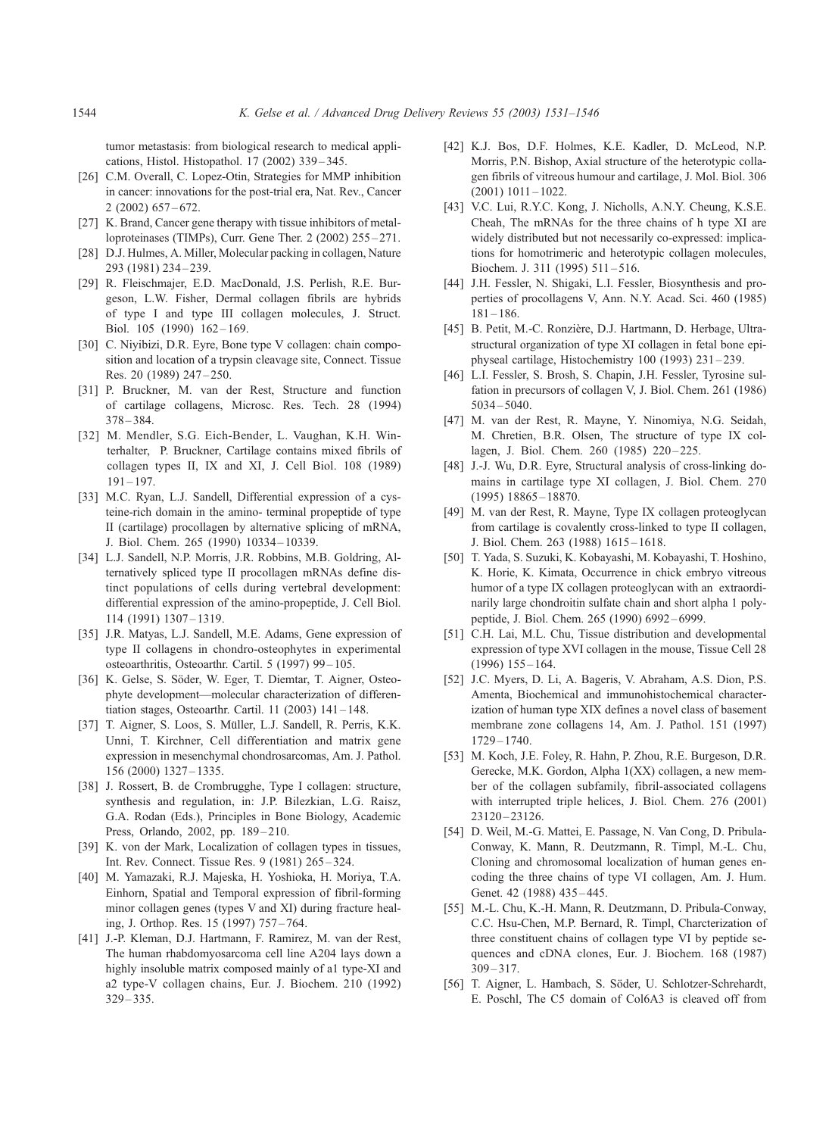<span id="page-13-0"></span>tumor metastasis: from biological research to medical applications, Histol. Histopathol. 17 (2002) 339 – 345.

- [26] C.M. Overall, C. Lopez-Otin, Strategies for MMP inhibition in cancer: innovations for the post-trial era, Nat. Rev., Cancer 2 (2002) 657 – 672.
- [27] K. Brand, Cancer gene therapy with tissue inhibitors of metalloproteinases (TIMPs), Curr. Gene Ther. 2 (2002) 255 – 271.
- [28] D.J. Hulmes, A. Miller, Molecular packing in collagen, Nature 293 (1981) 234 – 239.
- [29] R. Fleischmajer, E.D. MacDonald, J.S. Perlish, R.E. Burgeson, L.W. Fisher, Dermal collagen fibrils are hybrids of type I and type III collagen molecules, J. Struct. Biol. 105 (1990) 162 – 169.
- [30] C. Niyibizi, D.R. Eyre, Bone type V collagen: chain composition and location of a trypsin cleavage site, Connect. Tissue Res. 20 (1989) 247 – 250.
- [31] P. Bruckner, M. van der Rest, Structure and function of cartilage collagens, Microsc. Res. Tech. 28 (1994)  $378 - 384$
- [32] M. Mendler, S.G. Eich-Bender, L. Vaughan, K.H. Winterhalter, P. Bruckner, Cartilage contains mixed fibrils of collagen types II, IX and XI, J. Cell Biol. 108 (1989)  $191 - 197$ .
- [33] M.C. Ryan, L.J. Sandell, Differential expression of a cysteine-rich domain in the amino- terminal propeptide of type II (cartilage) procollagen by alternative splicing of mRNA, J. Biol. Chem. 265 (1990) 10334 – 10339.
- [34] L.J. Sandell, N.P. Morris, J.R. Robbins, M.B. Goldring, Alternatively spliced type II procollagen mRNAs define distinct populations of cells during vertebral development: differential expression of the amino-propeptide, J. Cell Biol. 114 (1991) 1307 – 1319.
- [35] J.R. Matyas, L.J. Sandell, M.E. Adams, Gene expression of type II collagens in chondro-osteophytes in experimental osteoarthritis, Osteoarthr. Cartil. 5 (1997) 99 – 105.
- [36] K. Gelse, S. Söder, W. Eger, T. Diemtar, T. Aigner, Osteophyte development—molecular characterization of differentiation stages, Osteoarthr. Cartil. 11 (2003) 141 – 148.
- [37] T. Aigner, S. Loos, S. Müller, L.J. Sandell, R. Perris, K.K. Unni, T. Kirchner, Cell differentiation and matrix gene expression in mesenchymal chondrosarcomas, Am. J. Pathol. 156 (2000) 1327 – 1335.
- [38] J. Rossert, B. de Crombrugghe, Type I collagen: structure, synthesis and regulation, in: J.P. Bilezkian, L.G. Raisz, G.A. Rodan (Eds.), Principles in Bone Biology, Academic Press, Orlando, 2002, pp. 189-210.
- [39] K. von der Mark, Localization of collagen types in tissues, Int. Rev. Connect. Tissue Res. 9 (1981) 265 – 324.
- [40] M. Yamazaki, R.J. Majeska, H. Yoshioka, H. Moriya, T.A. Einhorn, Spatial and Temporal expression of fibril-forming minor collagen genes (types V and XI) during fracture healing, J. Orthop. Res. 15 (1997) 757 – 764.
- [41] J.-P. Kleman, D.J. Hartmann, F. Ramirez, M. van der Rest, The human rhabdomyosarcoma cell line A204 lays down a highly insoluble matrix composed mainly of a1 type-XI and a2 type-V collagen chains, Eur. J. Biochem. 210 (1992) 329 – 335.
- [42] K.J. Bos, D.F. Holmes, K.E. Kadler, D. McLeod, N.P. Morris, P.N. Bishop, Axial structure of the heterotypic collagen fibrils of vitreous humour and cartilage, J. Mol. Biol. 306  $(2001)$  1011 – 1022.
- [43] V.C. Lui, R.Y.C. Kong, J. Nicholls, A.N.Y. Cheung, K.S.E. Cheah, The mRNAs for the three chains of h type XI are widely distributed but not necessarily co-expressed: implications for homotrimeric and heterotypic collagen molecules, Biochem. J. 311 (1995) 511 – 516.
- [44] J.H. Fessler, N. Shigaki, L.I. Fessler, Biosynthesis and properties of procollagens V, Ann. N.Y. Acad. Sci. 460 (1985)  $181 - 186.$
- [45] B. Petit, M.-C. Ronzière, D.J. Hartmann, D. Herbage, Ultrastructural organization of type XI collagen in fetal bone epiphyseal cartilage, Histochemistry 100 (1993) 231 – 239.
- [46] L.I. Fessler, S. Brosh, S. Chapin, J.H. Fessler, Tyrosine sulfation in precursors of collagen V, J. Biol. Chem. 261 (1986) 5034 – 5040.
- [47] M. van der Rest, R. Mayne, Y. Ninomiya, N.G. Seidah, M. Chretien, B.R. Olsen, The structure of type IX collagen, J. Biol. Chem. 260 (1985) 220-225.
- [48] J.-J. Wu, D.R. Eyre, Structural analysis of cross-linking domains in cartilage type XI collagen, J. Biol. Chem. 270  $(1995)$  18865 – 18870.
- [49] M. van der Rest, R. Mayne, Type IX collagen proteoglycan from cartilage is covalently cross-linked to type II collagen, J. Biol. Chem. 263 (1988) 1615 – 1618.
- [50] T. Yada, S. Suzuki, K. Kobayashi, M. Kobayashi, T. Hoshino, K. Horie, K. Kimata, Occurrence in chick embryo vitreous humor of a type IX collagen proteoglycan with an extraordinarily large chondroitin sulfate chain and short alpha 1 polypeptide, J. Biol. Chem. 265 (1990) 6992 – 6999.
- [51] C.H. Lai, M.L. Chu, Tissue distribution and developmental expression of type XVI collagen in the mouse, Tissue Cell 28  $(1996)$  155 – 164.
- [52] J.C. Myers, D. Li, A. Bageris, V. Abraham, A.S. Dion, P.S. Amenta, Biochemical and immunohistochemical characterization of human type XIX defines a novel class of basement membrane zone collagens 14, Am. J. Pathol. 151 (1997) 1729 – 1740.
- [53] M. Koch, J.E. Foley, R. Hahn, P. Zhou, R.E. Burgeson, D.R. Gerecke, M.K. Gordon, Alpha 1(XX) collagen, a new member of the collagen subfamily, fibril-associated collagens with interrupted triple helices, J. Biol. Chem. 276 (2001) 23120 – 23126.
- [54] D. Weil, M.-G. Mattei, E. Passage, N. Van Cong, D. Pribula-Conway, K. Mann, R. Deutzmann, R. Timpl, M.-L. Chu, Cloning and chromosomal localization of human genes encoding the three chains of type VI collagen, Am. J. Hum. Genet. 42 (1988) 435-445.
- [55] M.-L. Chu, K.-H. Mann, R. Deutzmann, D. Pribula-Conway, C.C. Hsu-Chen, M.P. Bernard, R. Timpl, Charcterization of three constituent chains of collagen type VI by peptide sequences and cDNA clones, Eur. J. Biochem. 168 (1987) 309 – 317.
- [56] T. Aigner, L. Hambach, S. Söder, U. Schlotzer-Schrehardt, E. Poschl, The C5 domain of Col6A3 is cleaved off from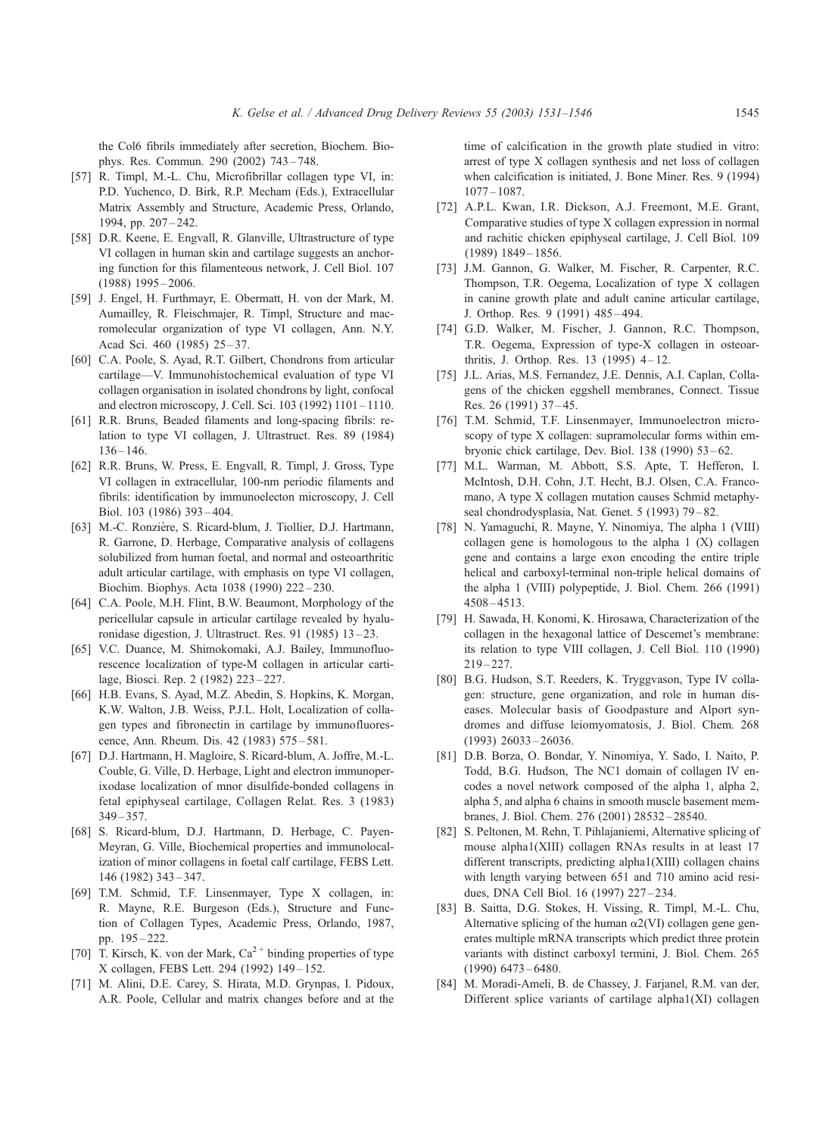<span id="page-14-0"></span>the Col6 fibrils immediately after secretion, Biochem. Biophys. Res. Commun. 290 (2002) 743 – 748.

- [57] R. Timpl, M.-L. Chu, Microfibrillar collagen type VI, in: P.D. Yuchenco, D. Birk, R.P. Mecham (Eds.), Extracellular Matrix Assembly and Structure, Academic Press, Orlando, 1994, pp. 207 – 242.
- [58] D.R. Keene, E. Engvall, R. Glanville, Ultrastructure of type VI collagen in human skin and cartilage suggests an anchoring function for this filamenteous network, J. Cell Biol. 107 (1988) 1995 – 2006.
- [59] J. Engel, H. Furthmayr, E. Obermatt, H. von der Mark, M. Aumailley, R. Fleischmajer, R. Timpl, Structure and macromolecular organization of type VI collagen, Ann. N.Y. Acad Sci. 460 (1985) 25-37.
- [60] C.A. Poole, S. Ayad, R.T. Gilbert, Chondrons from articular cartilage—V. Immunohistochemical evaluation of type VI collagen organisation in isolated chondrons by light, confocal and electron microscopy, J. Cell. Sci. 103 (1992) 1101 – 1110.
- [61] R.R. Bruns, Beaded filaments and long-spacing fibrils: relation to type VI collagen, J. Ultrastruct. Res. 89 (1984)  $136 - 146.$
- [62] R.R. Bruns, W. Press, E. Engvall, R. Timpl, J. Gross, Type VI collagen in extracellular, 100-nm periodic filaments and fibrils: identification by immunoelecton microscopy, J. Cell Biol. 103 (1986) 393 – 404.
- [63] M.-C. Ronzière, S. Ricard-blum, J. Tiollier, D.J. Hartmann, R. Garrone, D. Herbage, Comparative analysis of collagens solubilized from human foetal, and normal and osteoarthritic adult articular cartilage, with emphasis on type VI collagen, Biochim. Biophys. Acta 1038 (1990) 222 – 230.
- [64] C.A. Poole, M.H. Flint, B.W. Beaumont, Morphology of the pericellular capsule in articular cartilage revealed by hyaluronidase digestion, J. Ultrastruct. Res. 91 (1985) 13 – 23.
- [65] V.C. Duance, M. Shimokomaki, A.J. Bailey, Immunofluorescence localization of type-M collagen in articular cartilage, Biosci. Rep. 2 (1982) 223 – 227.
- [66] H.B. Evans, S. Ayad, M.Z. Abedin, S. Hopkins, K. Morgan, K.W. Walton, J.B. Weiss, P.J.L. Holt, Localization of collagen types and fibronectin in cartilage by immunofluorescence, Ann. Rheum. Dis. 42 (1983) 575 – 581.
- [67] D.J. Hartmann, H. Magloire, S. Ricard-blum, A. Joffre, M.-L. Couble, G. Ville, D. Herbage, Light and electron immunoperixodase localization of mnor disulfide-bonded collagens in fetal epiphyseal cartilage, Collagen Relat. Res. 3 (1983)  $349 - 357$ .
- [68] S. Ricard-blum, D.J. Hartmann, D. Herbage, C. Payen-Meyran, G. Ville, Biochemical properties and immunolocalization of minor collagens in foetal calf cartilage, FEBS Lett. 146 (1982) 343 – 347.
- [69] T.M. Schmid, T.F. Linsenmayer, Type X collagen, in: R. Mayne, R.E. Burgeson (Eds.), Structure and Function of Collagen Types, Academic Press, Orlando, 1987, pp. 195 – 222.
- [70] T. Kirsch, K. von der Mark,  $Ca^{2+}$  binding properties of type X collagen, FEBS Lett. 294 (1992) 149 – 152.
- [71] M. Alini, D.E. Carey, S. Hirata, M.D. Grynpas, I. Pidoux, A.R. Poole, Cellular and matrix changes before and at the

time of calcification in the growth plate studied in vitro: arrest of type X collagen synthesis and net loss of collagen when calcification is initiated, J. Bone Miner. Res. 9 (1994) 1077 – 1087.

- [72] A.P.L. Kwan, I.R. Dickson, A.J. Freemont, M.E. Grant, Comparative studies of type X collagen expression in normal and rachitic chicken epiphyseal cartilage, J. Cell Biol. 109 (1989) 1849 – 1856.
- [73] J.M. Gannon, G. Walker, M. Fischer, R. Carpenter, R.C. Thompson, T.R. Oegema, Localization of type X collagen in canine growth plate and adult canine articular cartilage, J. Orthop. Res. 9 (1991) 485 – 494.
- [74] G.D. Walker, M. Fischer, J. Gannon, R.C. Thompson, T.R. Oegema, Expression of type-X collagen in osteoarthritis, J. Orthop. Res.  $13$  (1995)  $4-12$ .
- [75] J.L. Arias, M.S. Fernandez, J.E. Dennis, A.I. Caplan, Collagens of the chicken eggshell membranes, Connect. Tissue Res. 26 (1991) 37-45.
- [76] T.M. Schmid, T.F. Linsenmayer, Immunoelectron microscopy of type X collagen: supramolecular forms within embryonic chick cartilage, Dev. Biol. 138 (1990) 53 – 62.
- [77] M.L. Warman, M. Abbott, S.S. Apte, T. Hefferon, I. McIntosh, D.H. Cohn, J.T. Hecht, B.J. Olsen, C.A. Francomano, A type X collagen mutation causes Schmid metaphyseal chondrodysplasia, Nat. Genet. 5 (1993) 79 – 82.
- [78] N. Yamaguchi, R. Mayne, Y. Ninomiya, The alpha 1 (VIII) collagen gene is homologous to the alpha 1 (X) collagen gene and contains a large exon encoding the entire triple helical and carboxyl-terminal non-triple helical domains of the alpha 1 (VIII) polypeptide, J. Biol. Chem. 266 (1991) 4508 – 4513.
- [79] H. Sawada, H. Konomi, K. Hirosawa, Characterization of the collagen in the hexagonal lattice of Descemet's membrane: its relation to type VIII collagen, J. Cell Biol. 110 (1990)  $219 - 227$ .
- [80] B.G. Hudson, S.T. Reeders, K. Tryggvason, Type IV collagen: structure, gene organization, and role in human diseases. Molecular basis of Goodpasture and Alport syndromes and diffuse leiomyomatosis, J. Biol. Chem. 268 (1993) 26033 – 26036.
- [81] D.B. Borza, O. Bondar, Y. Ninomiya, Y. Sado, I. Naito, P. Todd, B.G. Hudson, The NC1 domain of collagen IV encodes a novel network composed of the alpha 1, alpha 2, alpha 5, and alpha 6 chains in smooth muscle basement membranes, J. Biol. Chem. 276 (2001) 28532 – 28540.
- [82] S. Peltonen, M. Rehn, T. Pihlajaniemi, Alternative splicing of mouse alpha1(XIII) collagen RNAs results in at least 17 different transcripts, predicting alpha1(XIII) collagen chains with length varying between 651 and 710 amino acid residues, DNA Cell Biol. 16 (1997) 227 – 234.
- [83] B. Saitta, D.G. Stokes, H. Vissing, R. Timpl, M.-L. Chu, Alternative splicing of the human  $\alpha$ 2(VI) collagen gene generates multiple mRNA transcripts which predict three protein variants with distinct carboxyl termini, J. Biol. Chem. 265 (1990) 6473 – 6480.
- [84] M. Moradi-Ameli, B. de Chassey, J. Farjanel, R.M. van der, Different splice variants of cartilage alpha1(XI) collagen